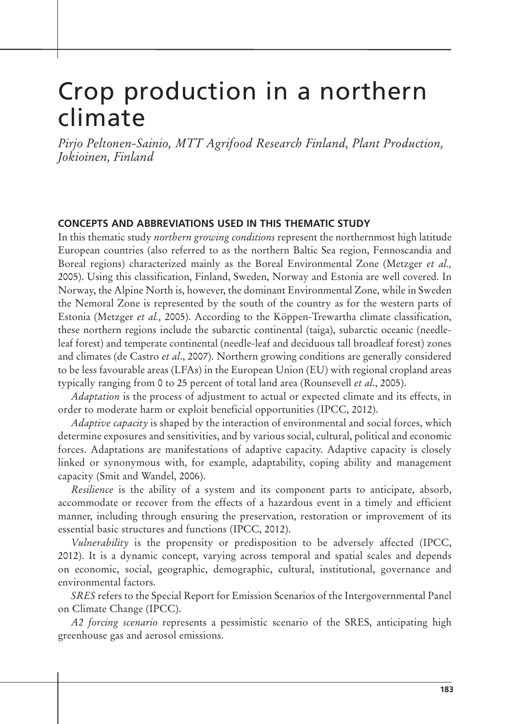# Crop production in a northern climate

*Pirjo Peltonen-Sainio, MTT Agrifood Research Finland, Plant Production, Jokioinen, Finland*

#### **CONCEPTS AND ABBREVIATIONS USED IN THIS THEMATIC STUDY**

In this thematic study *northern growing conditions* represent the northernmost high latitude European countries (also referred to as the northern Baltic Sea region, Fennoscandia and Boreal regions) characterized mainly as the Boreal Environmental Zone (Metzger *et al.,* 2005). Using this classification, Finland, Sweden, Norway and Estonia are well covered. In Norway, the Alpine North is, however, the dominant Environmental Zone, while in Sweden the Nemoral Zone is represented by the south of the country as for the western parts of Estonia (Metzger *et al.,* 2005). According to the Köppen-Trewartha climate classification, these northern regions include the subarctic continental (taiga), subarctic oceanic (needleleaf forest) and temperate continental (needle-leaf and deciduous tall broadleaf forest) zones and climates (de Castro *et al*., 2007). Northern growing conditions are generally considered to be less favourable areas (LFAs) in the European Union (EU) with regional cropland areas typically ranging from 0 to 25 percent of total land area (Rounsevell *et al*., 2005).

*Adaptation* is the process of adjustment to actual or expected climate and its effects, in order to moderate harm or exploit beneficial opportunities (IPCC, 2012).

*Adaptive capacity* is shaped by the interaction of environmental and social forces, which determine exposures and sensitivities, and by various social, cultural, political and economic forces. Adaptations are manifestations of adaptive capacity. Adaptive capacity is closely linked or synonymous with, for example, adaptability, coping ability and management capacity (Smit and Wandel, 2006).

*Resilience* is the ability of a system and its component parts to anticipate, absorb, accommodate or recover from the effects of a hazardous event in a timely and efficient manner, including through ensuring the preservation, restoration or improvement of its essential basic structures and functions (IPCC, 2012).

*Vulnerability* is the propensity or predisposition to be adversely affected (IPCC, 2012). It is a dynamic concept, varying across temporal and spatial scales and depends on economic, social, geographic, demographic, cultural, institutional, governance and environmental factors.

*SRES* refers to the Special Report for Emission Scenarios of the Intergovernmental Panel on Climate Change (IPCC).

*A2 forcing scenario* represents a pessimistic scenario of the SRES, anticipating high greenhouse gas and aerosol emissions.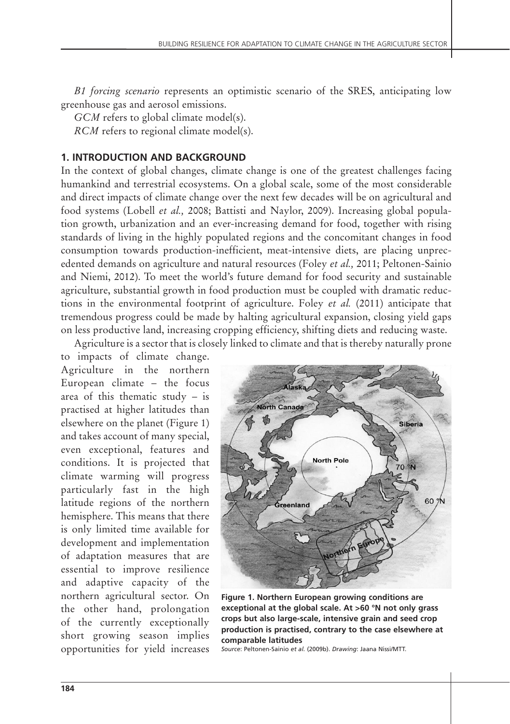*B1 forcing scenario* represents an optimistic scenario of the SRES, anticipating low greenhouse gas and aerosol emissions.

*GCM* refers to global climate model(s).

*RCM* refers to regional climate model(s).

#### **1. INTRODUCTION AND BACKGROUND**

In the context of global changes, climate change is one of the greatest challenges facing humankind and terrestrial ecosystems. On a global scale, some of the most considerable and direct impacts of climate change over the next few decades will be on agricultural and food systems (Lobell *et al.,* 2008; Battisti and Naylor, 2009). Increasing global population growth, urbanization and an ever-increasing demand for food, together with rising standards of living in the highly populated regions and the concomitant changes in food consumption towards production-inefficient, meat-intensive diets, are placing unprecedented demands on agriculture and natural resources (Foley *et al.,* 2011; Peltonen-Sainio and Niemi, 2012). To meet the world's future demand for food security and sustainable agriculture, substantial growth in food production must be coupled with dramatic reductions in the environmental footprint of agriculture. Foley *et al.* (2011) anticipate that tremendous progress could be made by halting agricultural expansion, closing yield gaps on less productive land, increasing cropping efficiency, shifting diets and reducing waste.

Agriculture is a sector that is closely linked to climate and that is thereby naturally prone

to impacts of climate change. Agriculture in the northern European climate – the focus area of this thematic study – is practised at higher latitudes than elsewhere on the planet (Figure 1) and takes account of many special, even exceptional, features and conditions. It is projected that climate warming will progress particularly fast in the high latitude regions of the northern hemisphere. This means that there is only limited time available for development and implementation of adaptation measures that are essential to improve resilience and adaptive capacity of the northern agricultural sector. On the other hand, prolongation of the currently exceptionally short growing season implies opportunities for yield increases



**Figure 1. Northern European growing conditions are exceptional at the global scale. At >60 °N not only grass crops but also large-scale, intensive grain and seed crop production is practised, contrary to the case elsewhere at comparable latitudes** 

*Source*: Peltonen-Sainio *et al.* (2009b). *Drawing*: Jaana Nissi/MTT.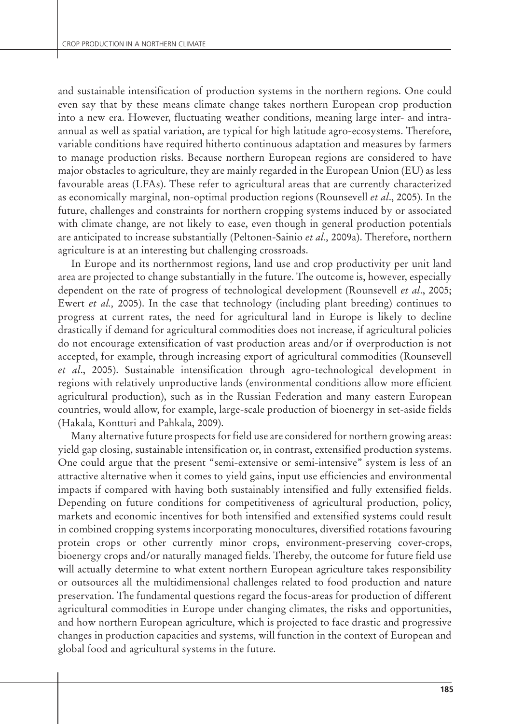and sustainable intensification of production systems in the northern regions. One could even say that by these means climate change takes northern European crop production into a new era. However, fluctuating weather conditions, meaning large inter- and intraannual as well as spatial variation, are typical for high latitude agro-ecosystems. Therefore, variable conditions have required hitherto continuous adaptation and measures by farmers to manage production risks. Because northern European regions are considered to have major obstacles to agriculture, they are mainly regarded in the European Union (EU) as less favourable areas (LFAs). These refer to agricultural areas that are currently characterized as economically marginal, non-optimal production regions (Rounsevell *et al*., 2005). In the future, challenges and constraints for northern cropping systems induced by or associated with climate change, are not likely to ease, even though in general production potentials are anticipated to increase substantially (Peltonen-Sainio *et al.,* 2009a). Therefore, northern agriculture is at an interesting but challenging crossroads.

In Europe and its northernmost regions, land use and crop productivity per unit land area are projected to change substantially in the future. The outcome is, however, especially dependent on the rate of progress of technological development (Rounsevell *et al*., 2005; Ewert *et al.,* 2005). In the case that technology (including plant breeding) continues to progress at current rates, the need for agricultural land in Europe is likely to decline drastically if demand for agricultural commodities does not increase, if agricultural policies do not encourage extensification of vast production areas and/or if overproduction is not accepted, for example, through increasing export of agricultural commodities (Rounsevell *et al*., 2005). Sustainable intensification through agro-technological development in regions with relatively unproductive lands (environmental conditions allow more efficient agricultural production), such as in the Russian Federation and many eastern European countries, would allow, for example, large-scale production of bioenergy in set-aside fields (Hakala, Kontturi and Pahkala, 2009).

Many alternative future prospects for field use are considered for northern growing areas: yield gap closing, sustainable intensification or, in contrast, extensified production systems. One could argue that the present "semi-extensive or semi-intensive" system is less of an attractive alternative when it comes to yield gains, input use efficiencies and environmental impacts if compared with having both sustainably intensified and fully extensified fields. Depending on future conditions for competitiveness of agricultural production, policy, markets and economic incentives for both intensified and extensified systems could result in combined cropping systems incorporating monocultures, diversified rotations favouring protein crops or other currently minor crops, environment-preserving cover-crops, bioenergy crops and/or naturally managed fields. Thereby, the outcome for future field use will actually determine to what extent northern European agriculture takes responsibility or outsources all the multidimensional challenges related to food production and nature preservation. The fundamental questions regard the focus-areas for production of different agricultural commodities in Europe under changing climates, the risks and opportunities, and how northern European agriculture, which is projected to face drastic and progressive changes in production capacities and systems, will function in the context of European and global food and agricultural systems in the future.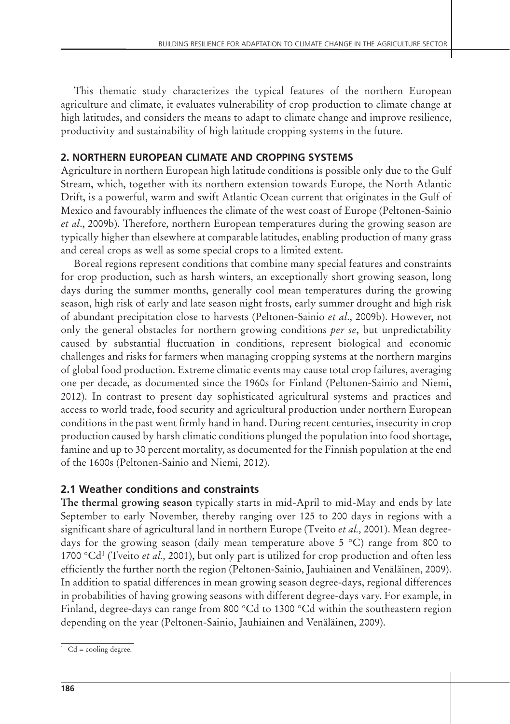This thematic study characterizes the typical features of the northern European agriculture and climate, it evaluates vulnerability of crop production to climate change at high latitudes, and considers the means to adapt to climate change and improve resilience, productivity and sustainability of high latitude cropping systems in the future.

### **2. NORTHERN EUROPEAN CLIMATE AND CROPPING SYSTEMS**

Agriculture in northern European high latitude conditions is possible only due to the Gulf Stream, which, together with its northern extension towards Europe, the North Atlantic Drift, is a powerful, warm and swift Atlantic Ocean current that originates in the Gulf of Mexico and favourably influences the climate of the west coast of Europe (Peltonen-Sainio *et al*., 2009b). Therefore, northern European temperatures during the growing season are typically higher than elsewhere at comparable latitudes, enabling production of many grass and cereal crops as well as some special crops to a limited extent.

Boreal regions represent conditions that combine many special features and constraints for crop production, such as harsh winters, an exceptionally short growing season, long days during the summer months, generally cool mean temperatures during the growing season, high risk of early and late season night frosts, early summer drought and high risk of abundant precipitation close to harvests (Peltonen-Sainio *et al*., 2009b). However, not only the general obstacles for northern growing conditions *per se*, but unpredictability caused by substantial fluctuation in conditions, represent biological and economic challenges and risks for farmers when managing cropping systems at the northern margins of global food production. Extreme climatic events may cause total crop failures, averaging one per decade, as documented since the 1960s for Finland (Peltonen-Sainio and Niemi, 2012). In contrast to present day sophisticated agricultural systems and practices and access to world trade, food security and agricultural production under northern European conditions in the past went firmly hand in hand. During recent centuries, insecurity in crop production caused by harsh climatic conditions plunged the population into food shortage, famine and up to 30 percent mortality, as documented for the Finnish population at the end of the 1600s (Peltonen-Sainio and Niemi, 2012).

## **2.1 Weather conditions and constraints**

**The thermal growing season** typically starts in mid-April to mid-May and ends by late September to early November, thereby ranging over 125 to 200 days in regions with a significant share of agricultural land in northern Europe (Tveito *et al.,* 2001). Mean degreedays for the growing season (daily mean temperature above 5 °C) range from 800 to 1700 °Cd1 (Tveito *et al.,* 2001), but only part is utilized for crop production and often less efficiently the further north the region (Peltonen-Sainio, Jauhiainen and Venäläinen, 2009). In addition to spatial differences in mean growing season degree-days, regional differences in probabilities of having growing seasons with different degree-days vary. For example, in Finland, degree-days can range from 800 °Cd to 1300 °Cd within the southeastern region depending on the year (Peltonen-Sainio, Jauhiainen and Venäläinen, 2009).

 $1$  Cd = cooling degree.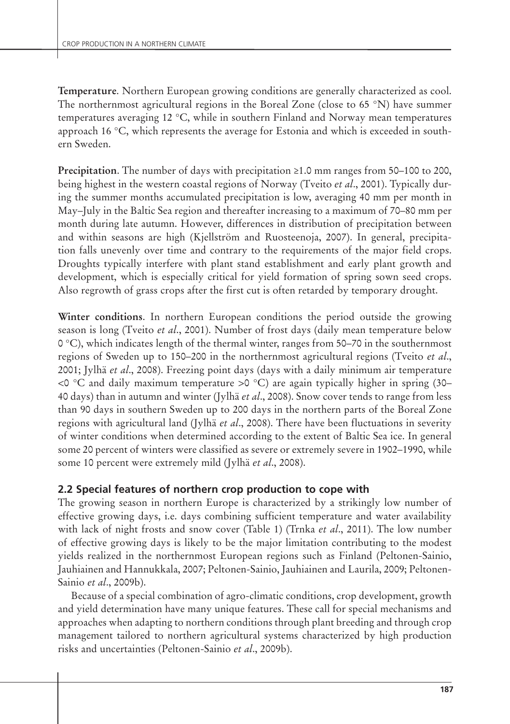**Temperature**. Northern European growing conditions are generally characterized as cool. The northernmost agricultural regions in the Boreal Zone (close to 65 °N) have summer temperatures averaging 12 °C, while in southern Finland and Norway mean temperatures approach 16 °C, which represents the average for Estonia and which is exceeded in southern Sweden.

**Precipitation**. The number of days with precipitation ≥1.0 mm ranges from 50–100 to 200, being highest in the western coastal regions of Norway (Tveito *et al*., 2001). Typically during the summer months accumulated precipitation is low, averaging 40 mm per month in May–July in the Baltic Sea region and thereafter increasing to a maximum of 70–80 mm per month during late autumn. However, differences in distribution of precipitation between and within seasons are high (Kjellström and Ruosteenoja, 2007). In general, precipitation falls unevenly over time and contrary to the requirements of the major field crops. Droughts typically interfere with plant stand establishment and early plant growth and development, which is especially critical for yield formation of spring sown seed crops. Also regrowth of grass crops after the first cut is often retarded by temporary drought.

**Winter conditions**. In northern European conditions the period outside the growing season is long (Tveito *et al*., 2001). Number of frost days (daily mean temperature below 0 °C), which indicates length of the thermal winter, ranges from 50–70 in the southernmost regions of Sweden up to 150–200 in the northernmost agricultural regions (Tveito *et al*., 2001; Jylhä *et al*., 2008). Freezing point days (days with a daily minimum air temperature <0 °C and daily maximum temperature >0 °C) are again typically higher in spring (30– 40 days) than in autumn and winter (Jylhä *et al*., 2008). Snow cover tends to range from less than 90 days in southern Sweden up to 200 days in the northern parts of the Boreal Zone regions with agricultural land (Jylhä *et al*., 2008). There have been fluctuations in severity of winter conditions when determined according to the extent of Baltic Sea ice. In general some 20 percent of winters were classified as severe or extremely severe in 1902–1990, while some 10 percent were extremely mild (Jylhä *et al*., 2008).

# **2.2 Special features of northern crop production to cope with**

The growing season in northern Europe is characterized by a strikingly low number of effective growing days, i.e. days combining sufficient temperature and water availability with lack of night frosts and snow cover (Table 1) (Trnka *et al*., 2011). The low number of effective growing days is likely to be the major limitation contributing to the modest yields realized in the northernmost European regions such as Finland (Peltonen-Sainio, Jauhiainen and Hannukkala, 2007; Peltonen-Sainio, Jauhiainen and Laurila, 2009; Peltonen-Sainio *et al*., 2009b).

Because of a special combination of agro-climatic conditions, crop development, growth and yield determination have many unique features. These call for special mechanisms and approaches when adapting to northern conditions through plant breeding and through crop management tailored to northern agricultural systems characterized by high production risks and uncertainties (Peltonen-Sainio *et al*., 2009b).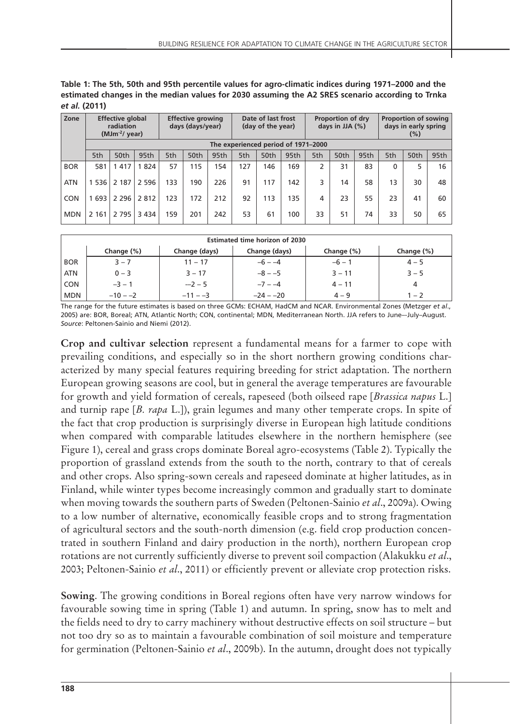**Table 1: The 5th, 50th and 95th percentile values for agro-climatic indices during 1971–2000 and the estimated changes in the median values for 2030 assuming the A2 SRES scenario according to Trnka**  *et al.* **(2011)** 

| Zone       | <b>Effective global</b><br>radiation<br>$(MJm^{-2}/$ year) |                                     |         | <b>Effective growing</b><br>days (days/year) |      | Date of last frost<br>(day of the year) |     |      | Proportion of dry<br>days in JJA $(%)$ |                | <b>Proportion of sowing</b><br>days in early spring<br>(%) |      |          |      |      |
|------------|------------------------------------------------------------|-------------------------------------|---------|----------------------------------------------|------|-----------------------------------------|-----|------|----------------------------------------|----------------|------------------------------------------------------------|------|----------|------|------|
|            |                                                            | The experienced period of 1971-2000 |         |                                              |      |                                         |     |      |                                        |                |                                                            |      |          |      |      |
|            | 5th                                                        | 50th                                | 95th    | 5th                                          | 50th | 95th                                    | 5th | 50th | 95th                                   | 5th            | 50th                                                       | 95th | 5th      | 50th | 95th |
| <b>BOR</b> | 581                                                        | 417                                 | 1824    | 57                                           | 115  | 154                                     | 127 | 146  | 169                                    | $\overline{2}$ | 31                                                         | 83   | $\Omega$ | 5    | 16   |
| <b>ATN</b> | 1 5 3 6                                                    | 2 1 8 7                             | 2 5 9 6 | 133                                          | 190  | 226                                     | 91  | 117  | 142                                    | 3              | 14                                                         | 58   | 13       | 30   | 48   |
| <b>CON</b> | 1 693                                                      | 2 2 9 6                             | 2812    | 123                                          | 172  | 212                                     | 92  | 113  | 135                                    | 4              | 23                                                         | 55   | 23       | 41   | 60   |
| <b>MDN</b> | 2 1 6 1                                                    | 2 7 9 5                             | 3 4 3 4 | 159                                          | 201  | 242                                     | 53  | 61   | 100                                    | 33             | 51                                                         | 74   | 33       | 50   | 65   |

| Estimated time horizon of 2030 |            |               |               |            |            |  |  |  |
|--------------------------------|------------|---------------|---------------|------------|------------|--|--|--|
|                                | Change (%) | Change (days) | Change (days) | Change (%) | Change (%) |  |  |  |
| <b>BOR</b>                     | $3 - 7$    | $11 - 17$     | $-6 - -4$     | $-6 - 1$   | $4 - 5$    |  |  |  |
| <b>ATN</b>                     | $0 - 3$    | $3 - 17$      | $-8 - -5$     | $3 - 11$   | $3 - 5$    |  |  |  |
| <b>CON</b>                     | $-3 - 1$   | $-2 - 5$      | $-7 - -4$     | $4 - 11$   | 4          |  |  |  |
| <b>MDN</b>                     | $-10 - -2$ | $-11 - -3$    | $-24 - -20$   | $4 - 9$    | $1 - 2$    |  |  |  |

The range for the future estimates is based on three GCMs: ECHAM, HadCM and NCAR. Environmental Zones (Metzger *et al*., 2005) are: BOR, Boreal; ATN, Atlantic North; CON, continental; MDN, Mediterranean North. JJA refers to June–-July–August. *Source*: Peltonen-Sainio and Niemi (2012).

**Crop and cultivar selection** represent a fundamental means for a farmer to cope with prevailing conditions, and especially so in the short northern growing conditions characterized by many special features requiring breeding for strict adaptation. The northern European growing seasons are cool, but in general the average temperatures are favourable for growth and yield formation of cereals, rapeseed (both oilseed rape [*Brassica napus* L.] and turnip rape [*B. rapa* L.]), grain legumes and many other temperate crops. In spite of the fact that crop production is surprisingly diverse in European high latitude conditions when compared with comparable latitudes elsewhere in the northern hemisphere (see Figure 1), cereal and grass crops dominate Boreal agro-ecosystems (Table 2). Typically the proportion of grassland extends from the south to the north, contrary to that of cereals and other crops. Also spring-sown cereals and rapeseed dominate at higher latitudes, as in Finland, while winter types become increasingly common and gradually start to dominate when moving towards the southern parts of Sweden (Peltonen-Sainio *et al*., 2009a). Owing to a low number of alternative, economically feasible crops and to strong fragmentation of agricultural sectors and the south-north dimension (e.g. field crop production concentrated in southern Finland and dairy production in the north), northern European crop rotations are not currently sufficiently diverse to prevent soil compaction (Alakukku *et al*., 2003; Peltonen-Sainio *et al*., 2011) or efficiently prevent or alleviate crop protection risks.

**Sowing**. The growing conditions in Boreal regions often have very narrow windows for favourable sowing time in spring (Table 1) and autumn. In spring, snow has to melt and the fields need to dry to carry machinery without destructive effects on soil structure – but not too dry so as to maintain a favourable combination of soil moisture and temperature for germination (Peltonen-Sainio *et al*., 2009b). In the autumn, drought does not typically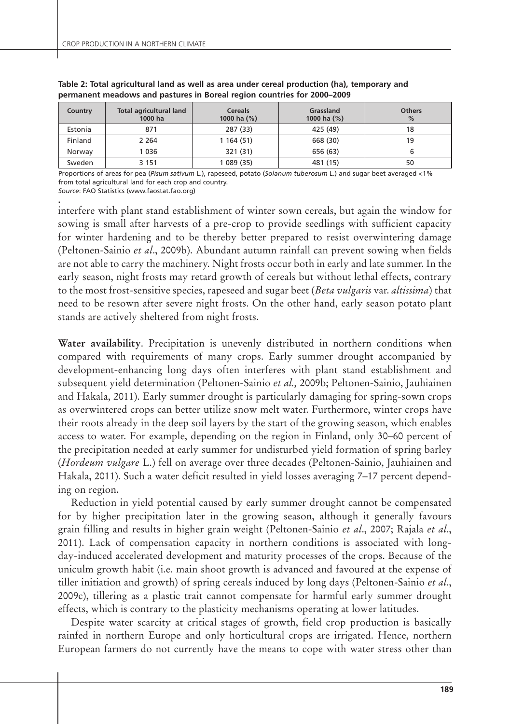| Country | <b>Total agricultural land</b><br>1000 ha | <b>Cereals</b><br>1000 ha (%) | Grassland<br>1000 ha (%) | <b>Others</b><br>% |  |
|---------|-------------------------------------------|-------------------------------|--------------------------|--------------------|--|
| Estonia | 871                                       | 287 (33)                      | 425 (49)                 | 18                 |  |
| Finland | 2 2 6 4                                   | 1164(51)                      | 668 (30)                 | 19                 |  |
| Norway  | 1036                                      | 321 (31)                      | 656 (63)                 |                    |  |
| Sweden  | 3 1 5 1                                   | 1 089 (35)                    | 481 (15)                 | 50                 |  |

**Table 2: Total agricultural land as well as area under cereal production (ha), temporary and permanent meadows and pastures in Boreal region countries for 2000–2009**

Proportions of areas for pea (*Pisum sativum* L.), rapeseed, potato (*Solanum tuberosum* L.) and sugar beet averaged <1% from total agricultural land for each crop and country.

*Source*: FAO Statistics (www.faostat.fao.org)

interfere with plant stand establishment of winter sown cereals, but again the window for sowing is small after harvests of a pre-crop to provide seedlings with sufficient capacity for winter hardening and to be thereby better prepared to resist overwintering damage (Peltonen-Sainio *et al*., 2009b). Abundant autumn rainfall can prevent sowing when fields are not able to carry the machinery. Night frosts occur both in early and late summer. In the early season, night frosts may retard growth of cereals but without lethal effects, contrary to the most frost-sensitive species, rapeseed and sugar beet (*Beta vulgaris* var. *altissima*) that need to be resown after severe night frosts. On the other hand, early season potato plant stands are actively sheltered from night frosts. **.**

**Water availability**. Precipitation is unevenly distributed in northern conditions when compared with requirements of many crops. Early summer drought accompanied by development-enhancing long days often interferes with plant stand establishment and subsequent yield determination (Peltonen-Sainio *et al.,* 2009b; Peltonen-Sainio, Jauhiainen and Hakala, 2011). Early summer drought is particularly damaging for spring-sown crops as overwintered crops can better utilize snow melt water. Furthermore, winter crops have their roots already in the deep soil layers by the start of the growing season, which enables access to water. For example, depending on the region in Finland, only 30–60 percent of the precipitation needed at early summer for undisturbed yield formation of spring barley (*Hordeum vulgare* L.) fell on average over three decades (Peltonen-Sainio, Jauhiainen and Hakala, 2011). Such a water deficit resulted in yield losses averaging 7–17 percent depending on region.

Reduction in yield potential caused by early summer drought cannot be compensated for by higher precipitation later in the growing season, although it generally favours grain filling and results in higher grain weight (Peltonen-Sainio *et al*., 2007; Rajala *et al*., 2011). Lack of compensation capacity in northern conditions is associated with longday-induced accelerated development and maturity processes of the crops. Because of the uniculm growth habit (i.e. main shoot growth is advanced and favoured at the expense of tiller initiation and growth) of spring cereals induced by long days (Peltonen-Sainio *et al*., 2009c), tillering as a plastic trait cannot compensate for harmful early summer drought effects, which is contrary to the plasticity mechanisms operating at lower latitudes.

Despite water scarcity at critical stages of growth, field crop production is basically rainfed in northern Europe and only horticultural crops are irrigated. Hence, northern European farmers do not currently have the means to cope with water stress other than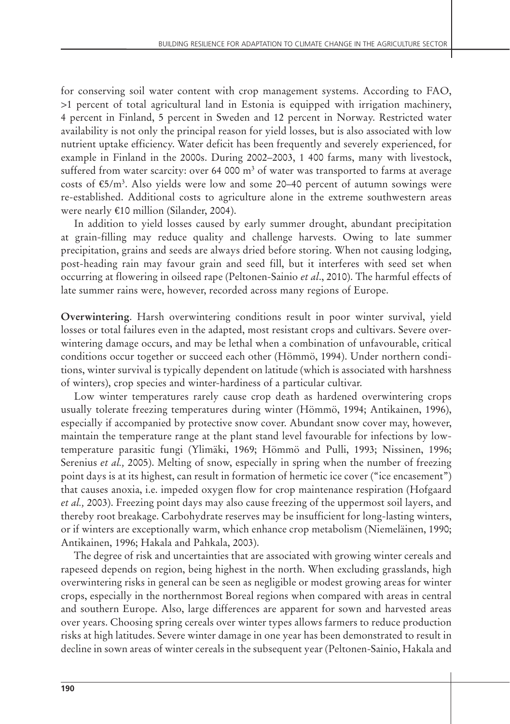for conserving soil water content with crop management systems. According to FAO, >1 percent of total agricultural land in Estonia is equipped with irrigation machinery, 4 percent in Finland, 5 percent in Sweden and 12 percent in Norway. Restricted water availability is not only the principal reason for yield losses, but is also associated with low nutrient uptake efficiency. Water deficit has been frequently and severely experienced, for example in Finland in the 2000s. During 2002–2003, 1 400 farms, many with livestock, suffered from water scarcity: over 64 000  $\mathrm{m}^3$  of water was transported to farms at average costs of €5/m3. Also yields were low and some 20–40 percent of autumn sowings were re-established. Additional costs to agriculture alone in the extreme southwestern areas were nearly €10 million (Silander, 2004).

In addition to yield losses caused by early summer drought, abundant precipitation at grain-filling may reduce quality and challenge harvests. Owing to late summer precipitation, grains and seeds are always dried before storing. When not causing lodging, post-heading rain may favour grain and seed fill, but it interferes with seed set when occurring at flowering in oilseed rape (Peltonen-Sainio *et al*., 2010). The harmful effects of late summer rains were, however, recorded across many regions of Europe.

**Overwintering**. Harsh overwintering conditions result in poor winter survival, yield losses or total failures even in the adapted, most resistant crops and cultivars. Severe overwintering damage occurs, and may be lethal when a combination of unfavourable, critical conditions occur together or succeed each other (Hömmö, 1994). Under northern conditions, winter survival is typically dependent on latitude (which is associated with harshness of winters), crop species and winter-hardiness of a particular cultivar.

Low winter temperatures rarely cause crop death as hardened overwintering crops usually tolerate freezing temperatures during winter (Hömmö, 1994; Antikainen, 1996), especially if accompanied by protective snow cover. Abundant snow cover may, however, maintain the temperature range at the plant stand level favourable for infections by lowtemperature parasitic fungi (Ylimäki, 1969; Hömmö and Pulli, 1993; Nissinen, 1996; Serenius *et al.,* 2005). Melting of snow, especially in spring when the number of freezing point days is at its highest, can result in formation of hermetic ice cover ("ice encasement") that causes anoxia, i.e. impeded oxygen flow for crop maintenance respiration (Hofgaard *et al.,* 2003). Freezing point days may also cause freezing of the uppermost soil layers, and thereby root breakage. Carbohydrate reserves may be insufficient for long-lasting winters, or if winters are exceptionally warm, which enhance crop metabolism (Niemeläinen, 1990; Antikainen, 1996; Hakala and Pahkala, 2003).

The degree of risk and uncertainties that are associated with growing winter cereals and rapeseed depends on region, being highest in the north. When excluding grasslands, high overwintering risks in general can be seen as negligible or modest growing areas for winter crops, especially in the northernmost Boreal regions when compared with areas in central and southern Europe. Also, large differences are apparent for sown and harvested areas over years. Choosing spring cereals over winter types allows farmers to reduce production risks at high latitudes. Severe winter damage in one year has been demonstrated to result in decline in sown areas of winter cereals in the subsequent year (Peltonen-Sainio, Hakala and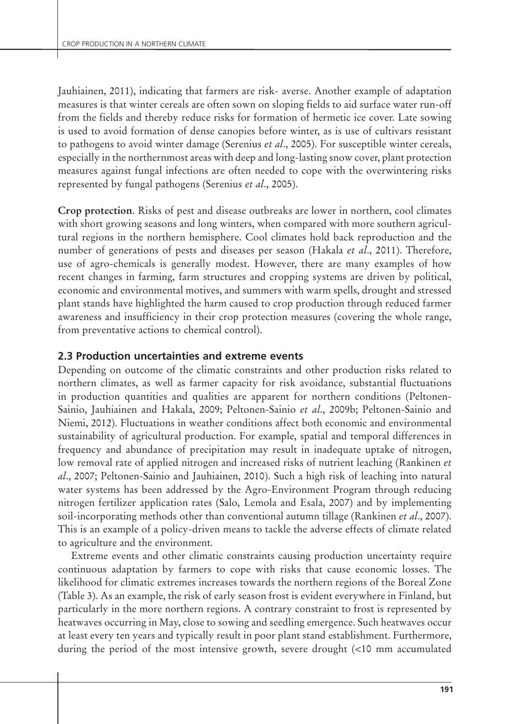Jauhiainen, 2011), indicating that farmers are risk- averse. Another example of adaptation measures is that winter cereals are often sown on sloping fields to aid surface water run-off from the fields and thereby reduce risks for formation of hermetic ice cover. Late sowing is used to avoid formation of dense canopies before winter, as is use of cultivars resistant to pathogens to avoid winter damage (Serenius *et al*., 2005). For susceptible winter cereals, especially in the northernmost areas with deep and long-lasting snow cover, plant protection measures against fungal infections are often needed to cope with the overwintering risks represented by fungal pathogens (Serenius *et al*., 2005).

**Crop protection**. Risks of pest and disease outbreaks are lower in northern, cool climates with short growing seasons and long winters, when compared with more southern agricultural regions in the northern hemisphere. Cool climates hold back reproduction and the number of generations of pests and diseases per season (Hakala *et al*., 2011). Therefore, use of agro-chemicals is generally modest. However, there are many examples of how recent changes in farming, farm structures and cropping systems are driven by political, economic and environmental motives, and summers with warm spells, drought and stressed plant stands have highlighted the harm caused to crop production through reduced farmer awareness and insufficiency in their crop protection measures (covering the whole range, from preventative actions to chemical control).

## **2.3 Production uncertainties and extreme events**

Depending on outcome of the climatic constraints and other production risks related to northern climates, as well as farmer capacity for risk avoidance, substantial fluctuations in production quantities and qualities are apparent for northern conditions (Peltonen-Sainio, Jauhiainen and Hakala, 2009; Peltonen-Sainio *et al*., 2009b; Peltonen-Sainio and Niemi, 2012). Fluctuations in weather conditions affect both economic and environmental sustainability of agricultural production. For example, spatial and temporal differences in frequency and abundance of precipitation may result in inadequate uptake of nitrogen, low removal rate of applied nitrogen and increased risks of nutrient leaching (Rankinen *et al*., 2007; Peltonen-Sainio and Jauhiainen, 2010). Such a high risk of leaching into natural water systems has been addressed by the Agro-Environment Program through reducing nitrogen fertilizer application rates (Salo, Lemola and Esala, 2007) and by implementing soil-incorporating methods other than conventional autumn tillage (Rankinen *et al*., 2007). This is an example of a policy-driven means to tackle the adverse effects of climate related to agriculture and the environment.

Extreme events and other climatic constraints causing production uncertainty require continuous adaptation by farmers to cope with risks that cause economic losses. The likelihood for climatic extremes increases towards the northern regions of the Boreal Zone (Table 3). As an example, the risk of early season frost is evident everywhere in Finland, but particularly in the more northern regions. A contrary constraint to frost is represented by heatwaves occurring in May, close to sowing and seedling emergence. Such heatwaves occur at least every ten years and typically result in poor plant stand establishment. Furthermore, during the period of the most intensive growth, severe drought (<10 mm accumulated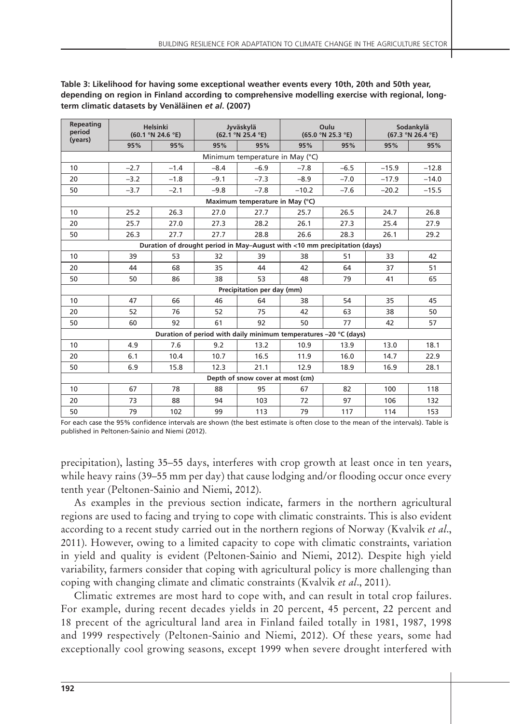| Repeating<br>period<br>(years)                                   |        | <b>Helsinki</b><br>(60.1 °N 24.6 °E)                                      |        | Jyväskylä<br>(62.1 °N 25.4 °E) |         | Oulu<br>(65.0 °N 25.3 °E) | Sodankylä<br>(67.3 °N 26.4 °E) |         |  |
|------------------------------------------------------------------|--------|---------------------------------------------------------------------------|--------|--------------------------------|---------|---------------------------|--------------------------------|---------|--|
|                                                                  | 95%    | 95%                                                                       | 95%    | 95%                            | 95%     | 95%                       | 95%                            | 95%     |  |
| Minimum temperature in May (°C)                                  |        |                                                                           |        |                                |         |                           |                                |         |  |
| 10                                                               | $-2.7$ | $-1.4$                                                                    | $-8.4$ | $-6.9$                         | $-7.8$  | $-6.5$                    | $-15.9$                        | $-12.8$ |  |
| 20                                                               | $-3.2$ | $-1.8$                                                                    | $-9.1$ | $-7.3$                         | $-8.9$  | $-7.0$                    | $-17.9$                        | $-14.0$ |  |
| 50                                                               | $-3.7$ | $-2.1$                                                                    | $-9.8$ | $-7.8$                         | $-10.2$ | $-7.6$                    | $-20.2$                        | $-15.5$ |  |
| Maximum temperature in May (°C)                                  |        |                                                                           |        |                                |         |                           |                                |         |  |
| 10                                                               | 25.2   | 26.3                                                                      | 27.0   | 27.7                           | 25.7    | 26.5                      | 24.7                           | 26.8    |  |
| 20                                                               | 25.7   | 27.0                                                                      | 27.3   | 28.2                           | 26.1    | 27.3                      | 25.4                           | 27.9    |  |
| 50                                                               | 26.3   | 27.7                                                                      | 27.7   | 28.8                           | 26.6    | 28.3                      | 26.1                           | 29.2    |  |
|                                                                  |        | Duration of drought period in May-August with <10 mm precipitation (days) |        |                                |         |                           |                                |         |  |
| 10                                                               | 39     | 53                                                                        | 32     | 39                             | 38      | 51                        | 33                             | 42      |  |
| 20                                                               | 44     | 68                                                                        | 35     | 44                             | 42      | 64                        | 37                             | 51      |  |
| 50                                                               | 50     | 86                                                                        | 38     | 53                             | 48      | 79                        | 41                             | 65      |  |
|                                                                  |        |                                                                           |        | Precipitation per day (mm)     |         |                           |                                |         |  |
| 10                                                               | 47     | 66                                                                        | 46     | 64                             | 38      | 54                        | 35                             | 45      |  |
| 20                                                               | 52     | 76                                                                        | 52     | 75                             | 42      | 63                        | 38                             | 50      |  |
| 50                                                               | 60     | 92                                                                        | 61     | 92                             | 50      | 77                        | 42                             | 57      |  |
| Duration of period with daily minimum temperatures -20 °C (days) |        |                                                                           |        |                                |         |                           |                                |         |  |
| 10                                                               | 4.9    | 7.6                                                                       | 9.2    | 13.2                           | 10.9    | 13.9                      | 13.0                           | 18.1    |  |
| 20                                                               | 6.1    | 10.4                                                                      | 10.7   | 16.5                           | 11.9    | 16.0                      | 14.7                           | 22.9    |  |
| 50                                                               | 6.9    | 15.8                                                                      | 12.3   | 21.1                           | 12.9    | 18.9                      | 16.9                           | 28.1    |  |
| Depth of snow cover at most (cm)                                 |        |                                                                           |        |                                |         |                           |                                |         |  |
| 10                                                               | 67     | 78                                                                        | 88     | 95                             | 67      | 82                        | 100                            | 118     |  |
| 20                                                               | 73     | 88                                                                        | 94     | 103                            | 72      | 97                        | 106                            | 132     |  |
| 50                                                               | 79     | 102                                                                       | 99     | 113                            | 79      | 117                       | 114                            | 153     |  |

**Table 3: Likelihood for having some exceptional weather events every 10th, 20th and 50th year, depending on region in Finland according to comprehensive modelling exercise with regional, longterm climatic datasets by Venäläinen** *et al***. (2007)** 

precipitation), lasting 35–55 days, interferes with crop growth at least once in ten years, while heavy rains (39–55 mm per day) that cause lodging and/or flooding occur once every tenth year (Peltonen-Sainio and Niemi, 2012).

As examples in the previous section indicate, farmers in the northern agricultural regions are used to facing and trying to cope with climatic constraints. This is also evident according to a recent study carried out in the northern regions of Norway (Kvalvik *et al*., 2011). However, owing to a limited capacity to cope with climatic constraints, variation in yield and quality is evident (Peltonen-Sainio and Niemi, 2012). Despite high yield variability, farmers consider that coping with agricultural policy is more challenging than coping with changing climate and climatic constraints (Kvalvik *et al*., 2011).

Climatic extremes are most hard to cope with, and can result in total crop failures. For example, during recent decades yields in 20 percent, 45 percent, 22 percent and 18 precent of the agricultural land area in Finland failed totally in 1981, 1987, 1998 and 1999 respectively (Peltonen-Sainio and Niemi, 2012). Of these years, some had exceptionally cool growing seasons, except 1999 when severe drought interfered with

For each case the 95% confidence intervals are shown (the best estimate is often close to the mean of the intervals). Table is published in Peltonen-Sainio and Niemi (2012).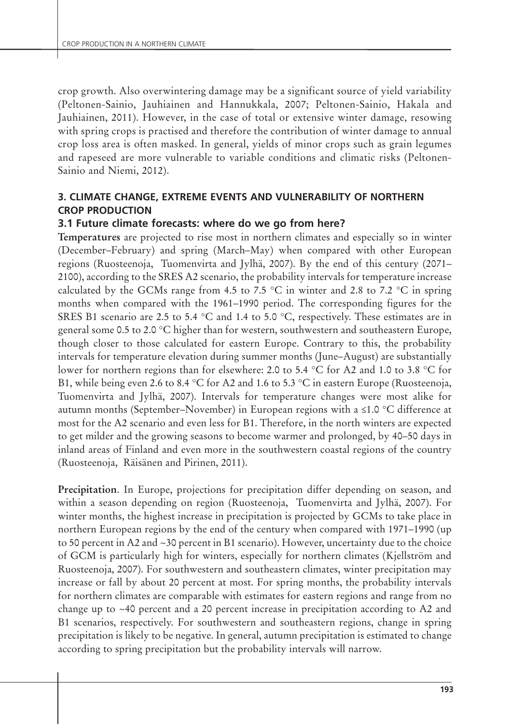crop growth. Also overwintering damage may be a significant source of yield variability (Peltonen-Sainio, Jauhiainen and Hannukkala, 2007; Peltonen-Sainio, Hakala and Jauhiainen, 2011). However, in the case of total or extensive winter damage, resowing with spring crops is practised and therefore the contribution of winter damage to annual crop loss area is often masked. In general, yields of minor crops such as grain legumes and rapeseed are more vulnerable to variable conditions and climatic risks (Peltonen-Sainio and Niemi, 2012).

## **3. CLIMATE CHANGE, EXTREME EVENTS AND VULNERABILITY OF NORTHERN CROP PRODUCTION**

## **3.1 Future climate forecasts: where do we go from here?**

**Temperatures** are projected to rise most in northern climates and especially so in winter (December–February) and spring (March–May) when compared with other European regions (Ruosteenoja, Tuomenvirta and Jylhä, 2007). By the end of this century (2071– 2100), according to the SRES A2 scenario, the probability intervals for temperature increase calculated by the GCMs range from 4.5 to 7.5 °C in winter and 2.8 to 7.2 °C in spring months when compared with the 1961–1990 period. The corresponding figures for the SRES B1 scenario are 2.5 to 5.4 °C and 1.4 to 5.0 °C, respectively. These estimates are in general some 0.5 to 2.0 °C higher than for western, southwestern and southeastern Europe, though closer to those calculated for eastern Europe. Contrary to this, the probability intervals for temperature elevation during summer months (June–August) are substantially lower for northern regions than for elsewhere: 2.0 to 5.4 °C for A2 and 1.0 to 3.8 °C for B1, while being even 2.6 to 8.4 °C for A2 and 1.6 to 5.3 °C in eastern Europe (Ruosteenoja, Tuomenvirta and Jylhä, 2007). Intervals for temperature changes were most alike for autumn months (September–November) in European regions with a ≤1.0 °C difference at most for the A2 scenario and even less for B1. Therefore, in the north winters are expected to get milder and the growing seasons to become warmer and prolonged, by 40–50 days in inland areas of Finland and even more in the southwestern coastal regions of the country (Ruosteenoja, Räisänen and Pirinen, 2011).

**Precipitation**. In Europe, projections for precipitation differ depending on season, and within a season depending on region (Ruosteenoja, Tuomenvirta and Jylhä, 2007). For winter months, the highest increase in precipitation is projected by GCMs to take place in northern European regions by the end of the century when compared with 1971–1990 (up to 50 percent in A2 and ~30 percent in B1 scenario). However, uncertainty due to the choice of GCM is particularly high for winters, especially for northern climates (Kjellström and Ruosteenoja, 2007). For southwestern and southeastern climates, winter precipitation may increase or fall by about 20 percent at most. For spring months, the probability intervals for northern climates are comparable with estimates for eastern regions and range from no change up to ~40 percent and a 20 percent increase in precipitation according to A2 and B1 scenarios, respectively. For southwestern and southeastern regions, change in spring precipitation is likely to be negative. In general, autumn precipitation is estimated to change according to spring precipitation but the probability intervals will narrow.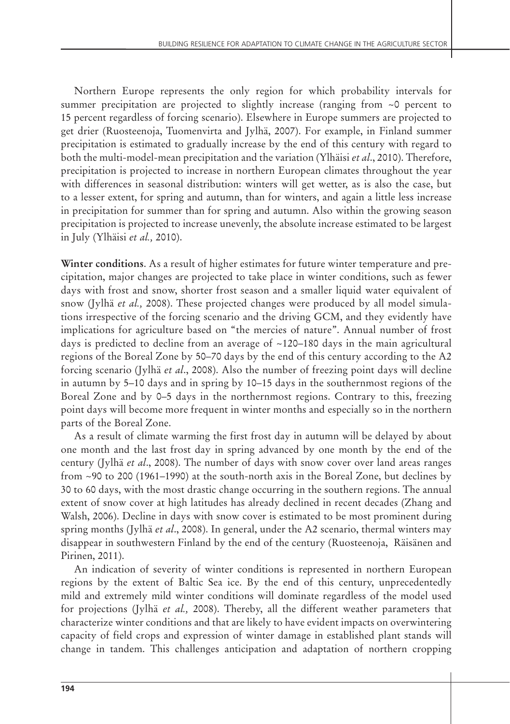Northern Europe represents the only region for which probability intervals for summer precipitation are projected to slightly increase (ranging from  $\sim$ 0 percent to 15 percent regardless of forcing scenario). Elsewhere in Europe summers are projected to get drier (Ruosteenoja, Tuomenvirta and Jylhä, 2007). For example, in Finland summer precipitation is estimated to gradually increase by the end of this century with regard to both the multi-model-mean precipitation and the variation (Ylhäisi *et al*., 2010). Therefore, precipitation is projected to increase in northern European climates throughout the year with differences in seasonal distribution: winters will get wetter, as is also the case, but to a lesser extent, for spring and autumn, than for winters, and again a little less increase in precipitation for summer than for spring and autumn. Also within the growing season precipitation is projected to increase unevenly, the absolute increase estimated to be largest in July (Ylhäisi *et al.,* 2010).

**Winter conditions**. As a result of higher estimates for future winter temperature and precipitation, major changes are projected to take place in winter conditions, such as fewer days with frost and snow, shorter frost season and a smaller liquid water equivalent of snow (Jylhä *et al.,* 2008). These projected changes were produced by all model simulations irrespective of the forcing scenario and the driving GCM, and they evidently have implications for agriculture based on "the mercies of nature". Annual number of frost days is predicted to decline from an average of ~120–180 days in the main agricultural regions of the Boreal Zone by 50–70 days by the end of this century according to the A2 forcing scenario (Jylhä *et al*., 2008). Also the number of freezing point days will decline in autumn by 5–10 days and in spring by 10–15 days in the southernmost regions of the Boreal Zone and by 0–5 days in the northernmost regions. Contrary to this, freezing point days will become more frequent in winter months and especially so in the northern parts of the Boreal Zone.

As a result of climate warming the first frost day in autumn will be delayed by about one month and the last frost day in spring advanced by one month by the end of the century (Jylhä *et al*., 2008). The number of days with snow cover over land areas ranges from ~90 to 200 (1961–1990) at the south-north axis in the Boreal Zone, but declines by 30 to 60 days, with the most drastic change occurring in the southern regions. The annual extent of snow cover at high latitudes has already declined in recent decades (Zhang and Walsh, 2006). Decline in days with snow cover is estimated to be most prominent during spring months (Jylhä *et al*., 2008). In general, under the A2 scenario, thermal winters may disappear in southwestern Finland by the end of the century (Ruosteenoja, Räisänen and Pirinen, 2011).

An indication of severity of winter conditions is represented in northern European regions by the extent of Baltic Sea ice. By the end of this century, unprecedentedly mild and extremely mild winter conditions will dominate regardless of the model used for projections (Jylhä *et al.,* 2008). Thereby, all the different weather parameters that characterize winter conditions and that are likely to have evident impacts on overwintering capacity of field crops and expression of winter damage in established plant stands will change in tandem. This challenges anticipation and adaptation of northern cropping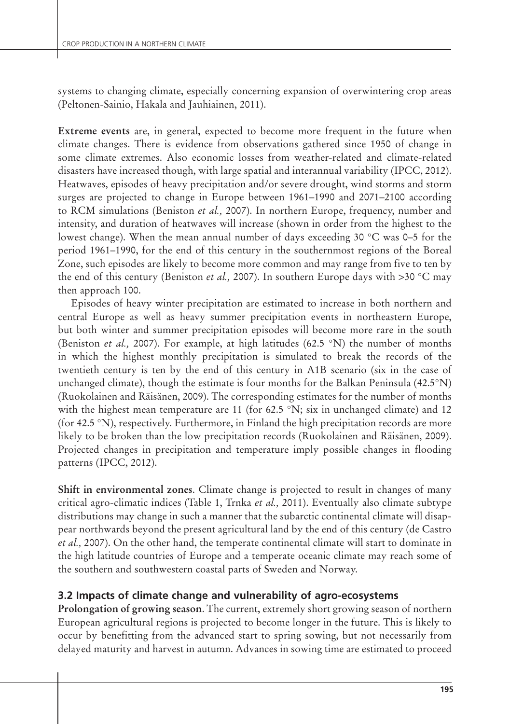systems to changing climate, especially concerning expansion of overwintering crop areas (Peltonen-Sainio, Hakala and Jauhiainen, 2011).

**Extreme events** are, in general, expected to become more frequent in the future when climate changes. There is evidence from observations gathered since 1950 of change in some climate extremes. Also economic losses from weather-related and climate-related disasters have increased though, with large spatial and interannual variability (IPCC, 2012). Heatwaves, episodes of heavy precipitation and/or severe drought, wind storms and storm surges are projected to change in Europe between 1961–1990 and 2071–2100 according to RCM simulations (Beniston *et al.,* 2007). In northern Europe, frequency, number and intensity, and duration of heatwaves will increase (shown in order from the highest to the lowest change). When the mean annual number of days exceeding 30 °C was 0–5 for the period 1961–1990, for the end of this century in the southernmost regions of the Boreal Zone, such episodes are likely to become more common and may range from five to ten by the end of this century (Beniston *et al.,* 2007). In southern Europe days with >30 °C may then approach 100.

Episodes of heavy winter precipitation are estimated to increase in both northern and central Europe as well as heavy summer precipitation events in northeastern Europe, but both winter and summer precipitation episodes will become more rare in the south (Beniston *et al.,* 2007). For example, at high latitudes (62.5 °N) the number of months in which the highest monthly precipitation is simulated to break the records of the twentieth century is ten by the end of this century in A1B scenario (six in the case of unchanged climate), though the estimate is four months for the Balkan Peninsula (42.5°N) (Ruokolainen and Räisänen, 2009). The corresponding estimates for the number of months with the highest mean temperature are 11 (for 62.5  $\textdegree N$ ; six in unchanged climate) and 12 (for 42.5 °N), respectively. Furthermore, in Finland the high precipitation records are more likely to be broken than the low precipitation records (Ruokolainen and Räisänen, 2009). Projected changes in precipitation and temperature imply possible changes in flooding patterns (IPCC, 2012).

**Shift in environmental zones**. Climate change is projected to result in changes of many critical agro-climatic indices (Table 1, Trnka *et al.,* 2011). Eventually also climate subtype distributions may change in such a manner that the subarctic continental climate will disappear northwards beyond the present agricultural land by the end of this century (de Castro *et al.,* 2007). On the other hand, the temperate continental climate will start to dominate in the high latitude countries of Europe and a temperate oceanic climate may reach some of the southern and southwestern coastal parts of Sweden and Norway.

# **3.2 Impacts of climate change and vulnerability of agro-ecosystems**

**Prolongation of growing season**. The current, extremely short growing season of northern European agricultural regions is projected to become longer in the future. This is likely to occur by benefitting from the advanced start to spring sowing, but not necessarily from delayed maturity and harvest in autumn. Advances in sowing time are estimated to proceed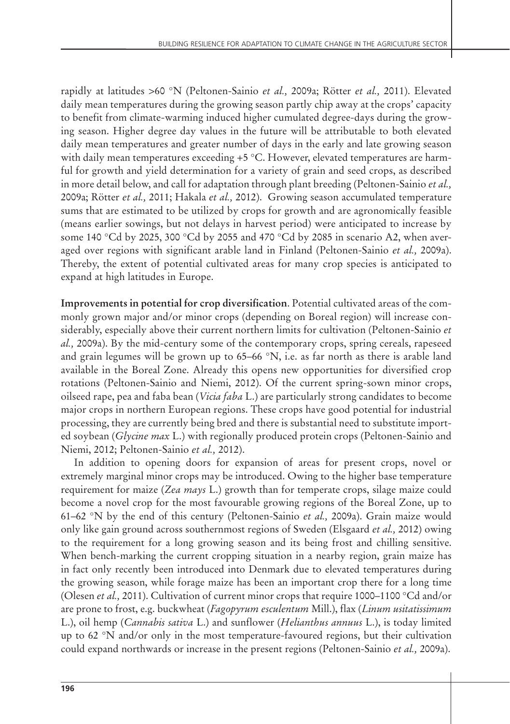rapidly at latitudes >60 °N (Peltonen-Sainio *et al.,* 2009a; Rötter *et al.,* 2011). Elevated daily mean temperatures during the growing season partly chip away at the crops' capacity to benefit from climate-warming induced higher cumulated degree-days during the growing season. Higher degree day values in the future will be attributable to both elevated daily mean temperatures and greater number of days in the early and late growing season with daily mean temperatures exceeding +5 °C. However, elevated temperatures are harmful for growth and yield determination for a variety of grain and seed crops, as described in more detail below, and call for adaptation through plant breeding (Peltonen-Sainio *et al.,* 2009a; Rötter *et al.,* 2011; Hakala *et al.,* 2012). Growing season accumulated temperature sums that are estimated to be utilized by crops for growth and are agronomically feasible (means earlier sowings, but not delays in harvest period) were anticipated to increase by some 140 °Cd by 2025, 300 °Cd by 2055 and 470 °Cd by 2085 in scenario A2, when averaged over regions with significant arable land in Finland (Peltonen-Sainio *et al.,* 2009a). Thereby, the extent of potential cultivated areas for many crop species is anticipated to expand at high latitudes in Europe.

**Improvements in potential for crop diversification**. Potential cultivated areas of the commonly grown major and/or minor crops (depending on Boreal region) will increase considerably, especially above their current northern limits for cultivation (Peltonen-Sainio *et al.,* 2009a). By the mid-century some of the contemporary crops, spring cereals, rapeseed and grain legumes will be grown up to  $65-66$  °N, i.e. as far north as there is arable land available in the Boreal Zone. Already this opens new opportunities for diversified crop rotations (Peltonen-Sainio and Niemi, 2012). Of the current spring-sown minor crops, oilseed rape, pea and faba bean (*Vicia faba* L.) are particularly strong candidates to become major crops in northern European regions. These crops have good potential for industrial processing, they are currently being bred and there is substantial need to substitute imported soybean (*Glycine max* L.) with regionally produced protein crops (Peltonen-Sainio and Niemi, 2012; Peltonen-Sainio *et al.,* 2012).

In addition to opening doors for expansion of areas for present crops, novel or extremely marginal minor crops may be introduced. Owing to the higher base temperature requirement for maize (*Zea mays* L.) growth than for temperate crops, silage maize could become a novel crop for the most favourable growing regions of the Boreal Zone, up to 61–62 °N by the end of this century (Peltonen-Sainio *et al.,* 2009a). Grain maize would only like gain ground across southernmost regions of Sweden (Elsgaard *et al.,* 2012) owing to the requirement for a long growing season and its being frost and chilling sensitive. When bench-marking the current cropping situation in a nearby region, grain maize has in fact only recently been introduced into Denmark due to elevated temperatures during the growing season, while forage maize has been an important crop there for a long time (Olesen *et al.,* 2011). Cultivation of current minor crops that require 1000–1100 °Cd and/or are prone to frost, e.g. buckwheat (*Fagopyrum esculentum* Mill.), flax (*Linum usitatissimum*  L.), oil hemp (*Cannabis sativa* L.) and sunflower (*Helianthus annuus* L.), is today limited up to 62 °N and/or only in the most temperature-favoured regions, but their cultivation could expand northwards or increase in the present regions (Peltonen-Sainio *et al.,* 2009a).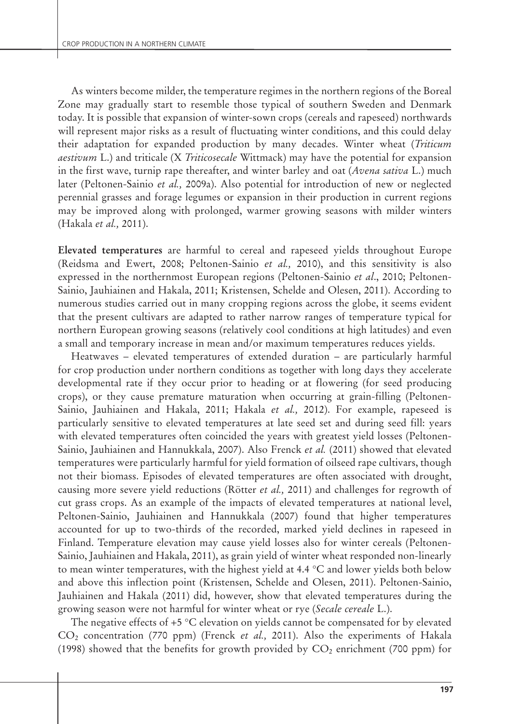As winters become milder, the temperature regimes in the northern regions of the Boreal Zone may gradually start to resemble those typical of southern Sweden and Denmark today. It is possible that expansion of winter-sown crops (cereals and rapeseed) northwards will represent major risks as a result of fluctuating winter conditions, and this could delay their adaptation for expanded production by many decades. Winter wheat (*Triticum aestivum* L.) and triticale (X *Triticosecale* Wittmack) may have the potential for expansion in the first wave, turnip rape thereafter, and winter barley and oat (*Avena sativa* L.) much later (Peltonen-Sainio *et al.,* 2009a). Also potential for introduction of new or neglected perennial grasses and forage legumes or expansion in their production in current regions may be improved along with prolonged, warmer growing seasons with milder winters (Hakala *et al.,* 2011).

**Elevated temperatures** are harmful to cereal and rapeseed yields throughout Europe (Reidsma and Ewert, 2008; Peltonen-Sainio *et al.,* 2010), and this sensitivity is also expressed in the northernmost European regions (Peltonen-Sainio *et al*., 2010; Peltonen-Sainio, Jauhiainen and Hakala, 2011; Kristensen, Schelde and Olesen, 2011). According to numerous studies carried out in many cropping regions across the globe, it seems evident that the present cultivars are adapted to rather narrow ranges of temperature typical for northern European growing seasons (relatively cool conditions at high latitudes) and even a small and temporary increase in mean and/or maximum temperatures reduces yields.

Heatwaves – elevated temperatures of extended duration – are particularly harmful for crop production under northern conditions as together with long days they accelerate developmental rate if they occur prior to heading or at flowering (for seed producing crops), or they cause premature maturation when occurring at grain-filling (Peltonen-Sainio, Jauhiainen and Hakala, 2011; Hakala *et al.,* 2012). For example, rapeseed is particularly sensitive to elevated temperatures at late seed set and during seed fill: years with elevated temperatures often coincided the years with greatest yield losses (Peltonen-Sainio, Jauhiainen and Hannukkala, 2007). Also Frenck *et al.* (2011) showed that elevated temperatures were particularly harmful for yield formation of oilseed rape cultivars, though not their biomass. Episodes of elevated temperatures are often associated with drought, causing more severe yield reductions (Rötter *et al.,* 2011) and challenges for regrowth of cut grass crops. As an example of the impacts of elevated temperatures at national level, Peltonen-Sainio, Jauhiainen and Hannukkala (2007) found that higher temperatures accounted for up to two-thirds of the recorded, marked yield declines in rapeseed in Finland. Temperature elevation may cause yield losses also for winter cereals (Peltonen-Sainio, Jauhiainen and Hakala, 2011), as grain yield of winter wheat responded non-linearly to mean winter temperatures, with the highest yield at 4.4 °C and lower yields both below and above this inflection point (Kristensen, Schelde and Olesen, 2011). Peltonen-Sainio, Jauhiainen and Hakala (2011) did, however, show that elevated temperatures during the growing season were not harmful for winter wheat or rye (*Secale cereale* L.).

The negative effects of  $+5$  °C elevation on yields cannot be compensated for by elevated CO2 concentration (770 ppm) (Frenck *et al.,* 2011). Also the experiments of Hakala (1998) showed that the benefits for growth provided by  $CO<sub>2</sub>$  enrichment (700 ppm) for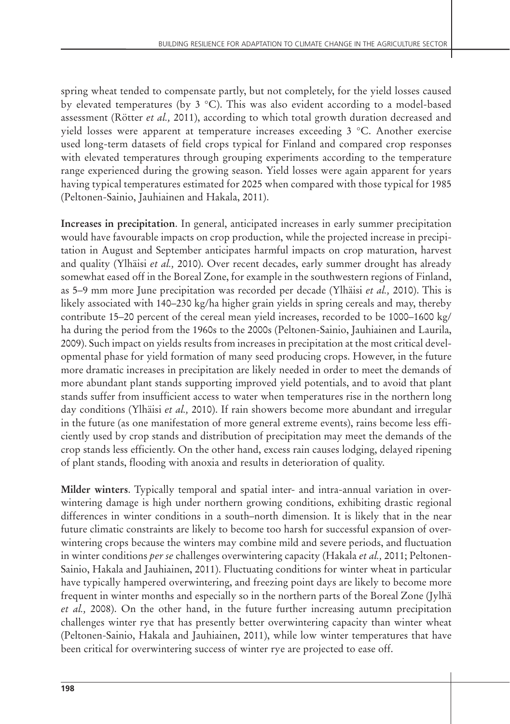spring wheat tended to compensate partly, but not completely, for the yield losses caused by elevated temperatures (by 3 °C). This was also evident according to a model-based assessment (Rötter *et al.,* 2011), according to which total growth duration decreased and yield losses were apparent at temperature increases exceeding 3 °C. Another exercise used long-term datasets of field crops typical for Finland and compared crop responses with elevated temperatures through grouping experiments according to the temperature range experienced during the growing season. Yield losses were again apparent for years having typical temperatures estimated for 2025 when compared with those typical for 1985 (Peltonen-Sainio, Jauhiainen and Hakala, 2011).

**Increases in precipitation**. In general, anticipated increases in early summer precipitation would have favourable impacts on crop production, while the projected increase in precipitation in August and September anticipates harmful impacts on crop maturation, harvest and quality (Ylhäisi *et al.,* 2010). Over recent decades, early summer drought has already somewhat eased off in the Boreal Zone, for example in the southwestern regions of Finland, as 5–9 mm more June precipitation was recorded per decade (Ylhäisi *et al.,* 2010). This is likely associated with 140–230 kg/ha higher grain yields in spring cereals and may, thereby contribute 15–20 percent of the cereal mean yield increases, recorded to be 1000–1600 kg/ ha during the period from the 1960s to the 2000s (Peltonen-Sainio, Jauhiainen and Laurila, 2009). Such impact on yields results from increases in precipitation at the most critical developmental phase for yield formation of many seed producing crops. However, in the future more dramatic increases in precipitation are likely needed in order to meet the demands of more abundant plant stands supporting improved yield potentials, and to avoid that plant stands suffer from insufficient access to water when temperatures rise in the northern long day conditions (Ylhäisi *et al.,* 2010). If rain showers become more abundant and irregular in the future (as one manifestation of more general extreme events), rains become less efficiently used by crop stands and distribution of precipitation may meet the demands of the crop stands less efficiently. On the other hand, excess rain causes lodging, delayed ripening of plant stands, flooding with anoxia and results in deterioration of quality.

**Milder winters**. Typically temporal and spatial inter- and intra-annual variation in overwintering damage is high under northern growing conditions, exhibiting drastic regional differences in winter conditions in a south–north dimension. It is likely that in the near future climatic constraints are likely to become too harsh for successful expansion of overwintering crops because the winters may combine mild and severe periods, and fluctuation in winter conditions *per se* challenges overwintering capacity (Hakala *et al.,* 2011; Peltonen-Sainio, Hakala and Jauhiainen, 2011). Fluctuating conditions for winter wheat in particular have typically hampered overwintering, and freezing point days are likely to become more frequent in winter months and especially so in the northern parts of the Boreal Zone (Jylhä *et al.,* 2008). On the other hand, in the future further increasing autumn precipitation challenges winter rye that has presently better overwintering capacity than winter wheat (Peltonen-Sainio, Hakala and Jauhiainen, 2011), while low winter temperatures that have been critical for overwintering success of winter rye are projected to ease off.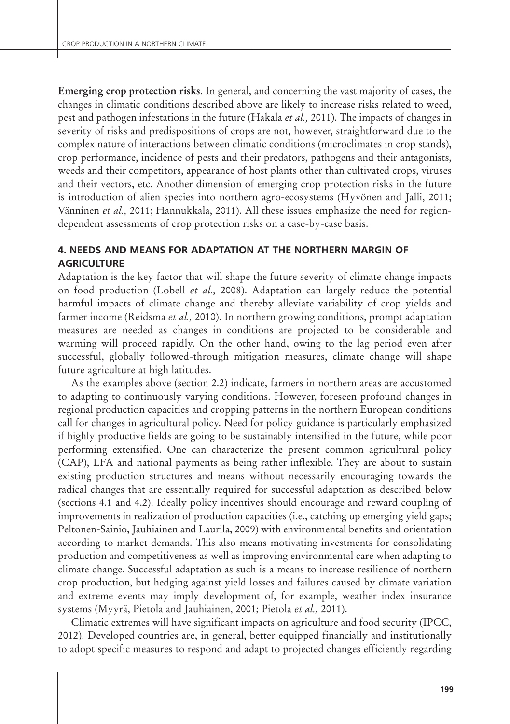**Emerging crop protection risks**. In general, and concerning the vast majority of cases, the changes in climatic conditions described above are likely to increase risks related to weed, pest and pathogen infestations in the future (Hakala *et al.,* 2011). The impacts of changes in severity of risks and predispositions of crops are not, however, straightforward due to the complex nature of interactions between climatic conditions (microclimates in crop stands), crop performance, incidence of pests and their predators, pathogens and their antagonists, weeds and their competitors, appearance of host plants other than cultivated crops, viruses and their vectors, etc. Another dimension of emerging crop protection risks in the future is introduction of alien species into northern agro-ecosystems (Hyvönen and Jalli, 2011; Vänninen *et al.,* 2011; Hannukkala, 2011). All these issues emphasize the need for regiondependent assessments of crop protection risks on a case-by-case basis.

## **4. NEEDS AND MEANS FOR ADAPTATION AT THE NORTHERN MARGIN OF AGRICULTURE**

Adaptation is the key factor that will shape the future severity of climate change impacts on food production (Lobell *et al.,* 2008). Adaptation can largely reduce the potential harmful impacts of climate change and thereby alleviate variability of crop yields and farmer income (Reidsma *et al.,* 2010). In northern growing conditions, prompt adaptation measures are needed as changes in conditions are projected to be considerable and warming will proceed rapidly. On the other hand, owing to the lag period even after successful, globally followed-through mitigation measures, climate change will shape future agriculture at high latitudes.

As the examples above (section 2.2) indicate, farmers in northern areas are accustomed to adapting to continuously varying conditions. However, foreseen profound changes in regional production capacities and cropping patterns in the northern European conditions call for changes in agricultural policy. Need for policy guidance is particularly emphasized if highly productive fields are going to be sustainably intensified in the future, while poor performing extensified. One can characterize the present common agricultural policy (CAP), LFA and national payments as being rather inflexible. They are about to sustain existing production structures and means without necessarily encouraging towards the radical changes that are essentially required for successful adaptation as described below (sections 4.1 and 4.2). Ideally policy incentives should encourage and reward coupling of improvements in realization of production capacities (i.e., catching up emerging yield gaps; Peltonen-Sainio, Jauhiainen and Laurila, 2009) with environmental benefits and orientation according to market demands. This also means motivating investments for consolidating production and competitiveness as well as improving environmental care when adapting to climate change. Successful adaptation as such is a means to increase resilience of northern crop production, but hedging against yield losses and failures caused by climate variation and extreme events may imply development of, for example, weather index insurance systems (Myyrä, Pietola and Jauhiainen, 2001; Pietola *et al.,* 2011).

Climatic extremes will have significant impacts on agriculture and food security (IPCC, 2012). Developed countries are, in general, better equipped financially and institutionally to adopt specific measures to respond and adapt to projected changes efficiently regarding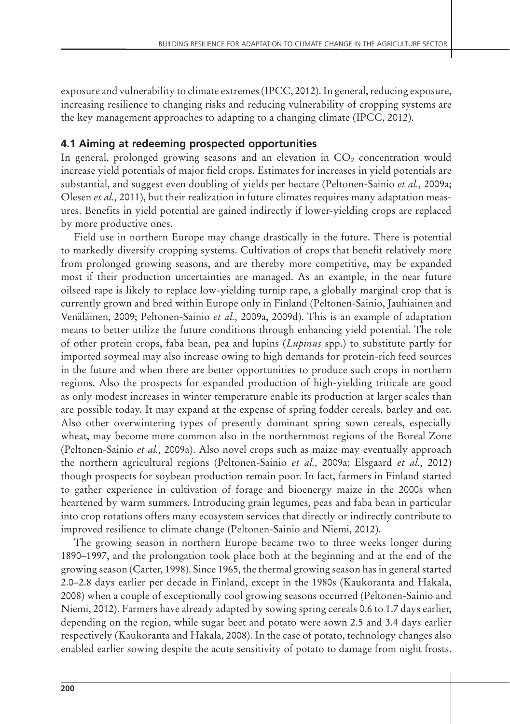exposure and vulnerability to climate extremes (IPCC, 2012). In general, reducing exposure, increasing resilience to changing risks and reducing vulnerability of cropping systems are the key management approaches to adapting to a changing climate (IPCC, 2012).

#### **4.1 Aiming at redeeming prospected opportunities**

In general, prolonged growing seasons and an elevation in  $CO<sub>2</sub>$  concentration would increase yield potentials of major field crops. Estimates for increases in yield potentials are substantial, and suggest even doubling of yields per hectare (Peltonen-Sainio *et al.,* 2009a; Olesen *et al.,* 2011), but their realization in future climates requires many adaptation measures. Benefits in yield potential are gained indirectly if lower-yielding crops are replaced by more productive ones.

Field use in northern Europe may change drastically in the future. There is potential to markedly diversify cropping systems. Cultivation of crops that benefit relatively more from prolonged growing seasons, and are thereby more competitive, may be expanded most if their production uncertainties are managed. As an example, in the near future oilseed rape is likely to replace low-yielding turnip rape, a globally marginal crop that is currently grown and bred within Europe only in Finland (Peltonen-Sainio, Jauhiainen and Venäläinen, 2009; Peltonen-Sainio *et al.,* 2009a, 2009d). This is an example of adaptation means to better utilize the future conditions through enhancing yield potential. The role of other protein crops, faba bean, pea and lupins (*Lupinus* spp.) to substitute partly for imported soymeal may also increase owing to high demands for protein-rich feed sources in the future and when there are better opportunities to produce such crops in northern regions. Also the prospects for expanded production of high-yielding triticale are good as only modest increases in winter temperature enable its production at larger scales than are possible today. It may expand at the expense of spring fodder cereals, barley and oat. Also other overwintering types of presently dominant spring sown cereals, especially wheat, may become more common also in the northernmost regions of the Boreal Zone (Peltonen-Sainio *et al.,* 2009a). Also novel crops such as maize may eventually approach the northern agricultural regions (Peltonen-Sainio *et al.,* 2009a; Elsgaard *et al.,* 2012) though prospects for soybean production remain poor. In fact, farmers in Finland started to gather experience in cultivation of forage and bioenergy maize in the 2000s when heartened by warm summers. Introducing grain legumes, peas and faba bean in particular into crop rotations offers many ecosystem services that directly or indirectly contribute to improved resilience to climate change (Peltonen-Sainio and Niemi, 2012).

The growing season in northern Europe became two to three weeks longer during 1890–1997, and the prolongation took place both at the beginning and at the end of the growing season (Carter, 1998). Since 1965, the thermal growing season has in general started 2.0–2.8 days earlier per decade in Finland, except in the 1980s (Kaukoranta and Hakala, 2008) when a couple of exceptionally cool growing seasons occurred (Peltonen-Sainio and Niemi, 2012). Farmers have already adapted by sowing spring cereals 0.6 to 1.7 days earlier, depending on the region, while sugar beet and potato were sown 2.5 and 3.4 days earlier respectively (Kaukoranta and Hakala, 2008). In the case of potato, technology changes also enabled earlier sowing despite the acute sensitivity of potato to damage from night frosts.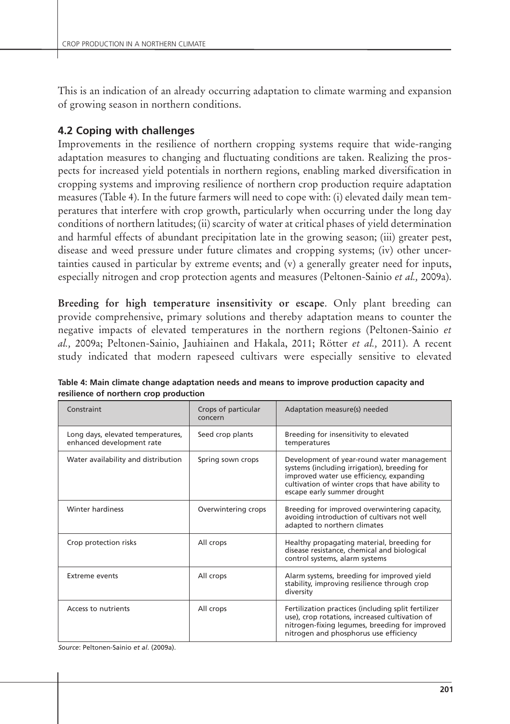This is an indication of an already occurring adaptation to climate warming and expansion of growing season in northern conditions.

## **4.2 Coping with challenges**

Improvements in the resilience of northern cropping systems require that wide-ranging adaptation measures to changing and fluctuating conditions are taken. Realizing the prospects for increased yield potentials in northern regions, enabling marked diversification in cropping systems and improving resilience of northern crop production require adaptation measures (Table 4). In the future farmers will need to cope with: (i) elevated daily mean temperatures that interfere with crop growth, particularly when occurring under the long day conditions of northern latitudes; (ii) scarcity of water at critical phases of yield determination and harmful effects of abundant precipitation late in the growing season; (iii) greater pest, disease and weed pressure under future climates and cropping systems; (iv) other uncertainties caused in particular by extreme events; and (v) a generally greater need for inputs, especially nitrogen and crop protection agents and measures (Peltonen-Sainio *et al.,* 2009a).

**Breeding for high temperature insensitivity or escape**. Only plant breeding can provide comprehensive, primary solutions and thereby adaptation means to counter the negative impacts of elevated temperatures in the northern regions (Peltonen-Sainio *et al.,* 2009a; Peltonen-Sainio, Jauhiainen and Hakala, 2011; Rötter *et al.,* 2011). A recent study indicated that modern rapeseed cultivars were especially sensitive to elevated

| Constraint                                                     | Crops of particular<br>concern | Adaptation measure(s) needed                                                                                                                                                                                              |  |  |
|----------------------------------------------------------------|--------------------------------|---------------------------------------------------------------------------------------------------------------------------------------------------------------------------------------------------------------------------|--|--|
| Long days, elevated temperatures,<br>enhanced development rate | Seed crop plants               | Breeding for insensitivity to elevated<br>temperatures                                                                                                                                                                    |  |  |
| Water availability and distribution                            | Spring sown crops              | Development of year-round water management<br>systems (including irrigation), breeding for<br>improved water use efficiency, expanding<br>cultivation of winter crops that have ability to<br>escape early summer drought |  |  |
| <b>Winter hardiness</b>                                        | Overwintering crops            | Breeding for improved overwintering capacity,<br>avoiding introduction of cultivars not well<br>adapted to northern climates                                                                                              |  |  |
| Crop protection risks                                          | All crops                      | Healthy propagating material, breeding for<br>disease resistance, chemical and biological<br>control systems, alarm systems                                                                                               |  |  |
| Extreme events                                                 | All crops                      | Alarm systems, breeding for improved yield<br>stability, improving resilience through crop<br>diversity                                                                                                                   |  |  |
| Access to nutrients                                            | All crops                      | Fertilization practices (including split fertilizer<br>use), crop rotations, increased cultivation of<br>nitrogen-fixing legumes, breeding for improved<br>nitrogen and phosphorus use efficiency                         |  |  |

**Table 4: Main climate change adaptation needs and means to improve production capacity and resilience of northern crop production** 

*Source*: Peltonen-Sainio *et al*. (2009a).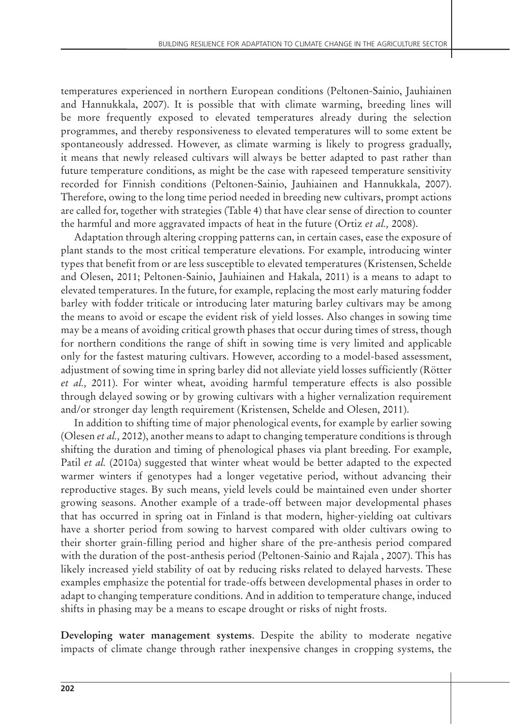temperatures experienced in northern European conditions (Peltonen-Sainio, Jauhiainen and Hannukkala, 2007). It is possible that with climate warming, breeding lines will be more frequently exposed to elevated temperatures already during the selection programmes, and thereby responsiveness to elevated temperatures will to some extent be spontaneously addressed. However, as climate warming is likely to progress gradually, it means that newly released cultivars will always be better adapted to past rather than future temperature conditions, as might be the case with rapeseed temperature sensitivity recorded for Finnish conditions (Peltonen-Sainio, Jauhiainen and Hannukkala, 2007). Therefore, owing to the long time period needed in breeding new cultivars, prompt actions are called for, together with strategies (Table 4) that have clear sense of direction to counter the harmful and more aggravated impacts of heat in the future (Ortiz *et al.,* 2008).

Adaptation through altering cropping patterns can, in certain cases, ease the exposure of plant stands to the most critical temperature elevations. For example, introducing winter types that benefit from or are less susceptible to elevated temperatures (Kristensen, Schelde and Olesen, 2011; Peltonen-Sainio, Jauhiainen and Hakala, 2011) is a means to adapt to elevated temperatures. In the future, for example, replacing the most early maturing fodder barley with fodder triticale or introducing later maturing barley cultivars may be among the means to avoid or escape the evident risk of yield losses. Also changes in sowing time may be a means of avoiding critical growth phases that occur during times of stress, though for northern conditions the range of shift in sowing time is very limited and applicable only for the fastest maturing cultivars. However, according to a model-based assessment, adjustment of sowing time in spring barley did not alleviate yield losses sufficiently (Rötter *et al.,* 2011). For winter wheat, avoiding harmful temperature effects is also possible through delayed sowing or by growing cultivars with a higher vernalization requirement and/or stronger day length requirement (Kristensen, Schelde and Olesen, 2011).

In addition to shifting time of major phenological events, for example by earlier sowing (Olesen *et al.,* 2012), another means to adapt to changing temperature conditions is through shifting the duration and timing of phenological phases via plant breeding. For example, Patil *et al.* (2010a) suggested that winter wheat would be better adapted to the expected warmer winters if genotypes had a longer vegetative period, without advancing their reproductive stages. By such means, yield levels could be maintained even under shorter growing seasons. Another example of a trade-off between major developmental phases that has occurred in spring oat in Finland is that modern, higher-yielding oat cultivars have a shorter period from sowing to harvest compared with older cultivars owing to their shorter grain-filling period and higher share of the pre-anthesis period compared with the duration of the post-anthesis period (Peltonen-Sainio and Rajala , 2007). This has likely increased yield stability of oat by reducing risks related to delayed harvests. These examples emphasize the potential for trade-offs between developmental phases in order to adapt to changing temperature conditions. And in addition to temperature change, induced shifts in phasing may be a means to escape drought or risks of night frosts.

**Developing water management systems**. Despite the ability to moderate negative impacts of climate change through rather inexpensive changes in cropping systems, the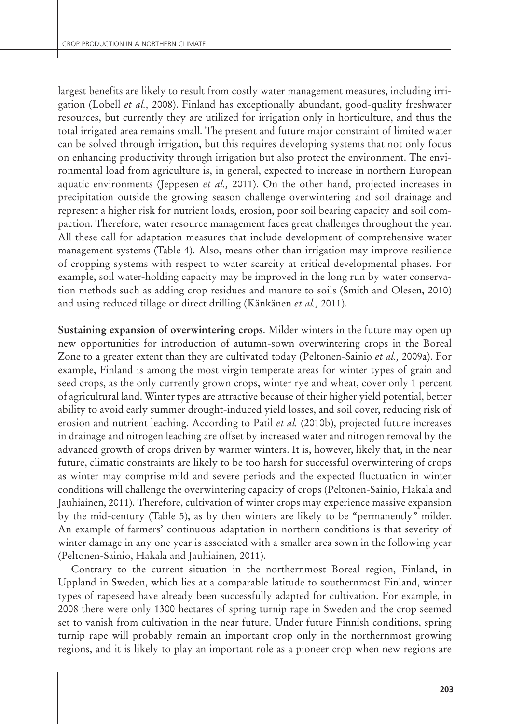largest benefits are likely to result from costly water management measures, including irrigation (Lobell *et al.,* 2008). Finland has exceptionally abundant, good-quality freshwater resources, but currently they are utilized for irrigation only in horticulture, and thus the total irrigated area remains small. The present and future major constraint of limited water can be solved through irrigation, but this requires developing systems that not only focus on enhancing productivity through irrigation but also protect the environment. The environmental load from agriculture is, in general, expected to increase in northern European aquatic environments (Jeppesen *et al.,* 2011). On the other hand, projected increases in precipitation outside the growing season challenge overwintering and soil drainage and represent a higher risk for nutrient loads, erosion, poor soil bearing capacity and soil compaction. Therefore, water resource management faces great challenges throughout the year. All these call for adaptation measures that include development of comprehensive water management systems (Table 4). Also, means other than irrigation may improve resilience of cropping systems with respect to water scarcity at critical developmental phases. For example, soil water-holding capacity may be improved in the long run by water conservation methods such as adding crop residues and manure to soils (Smith and Olesen, 2010) and using reduced tillage or direct drilling (Känkänen *et al.,* 2011).

**Sustaining expansion of overwintering crops**. Milder winters in the future may open up new opportunities for introduction of autumn-sown overwintering crops in the Boreal Zone to a greater extent than they are cultivated today (Peltonen-Sainio *et al.,* 2009a). For example, Finland is among the most virgin temperate areas for winter types of grain and seed crops, as the only currently grown crops, winter rye and wheat, cover only 1 percent of agricultural land. Winter types are attractive because of their higher yield potential, better ability to avoid early summer drought-induced yield losses, and soil cover, reducing risk of erosion and nutrient leaching. According to Patil *et al.* (2010b), projected future increases in drainage and nitrogen leaching are offset by increased water and nitrogen removal by the advanced growth of crops driven by warmer winters. It is, however, likely that, in the near future, climatic constraints are likely to be too harsh for successful overwintering of crops as winter may comprise mild and severe periods and the expected fluctuation in winter conditions will challenge the overwintering capacity of crops (Peltonen-Sainio, Hakala and Jauhiainen, 2011). Therefore, cultivation of winter crops may experience massive expansion by the mid-century (Table 5), as by then winters are likely to be "permanently" milder. An example of farmers' continuous adaptation in northern conditions is that severity of winter damage in any one year is associated with a smaller area sown in the following year (Peltonen-Sainio, Hakala and Jauhiainen, 2011).

Contrary to the current situation in the northernmost Boreal region, Finland, in Uppland in Sweden, which lies at a comparable latitude to southernmost Finland, winter types of rapeseed have already been successfully adapted for cultivation. For example, in 2008 there were only 1300 hectares of spring turnip rape in Sweden and the crop seemed set to vanish from cultivation in the near future. Under future Finnish conditions, spring turnip rape will probably remain an important crop only in the northernmost growing regions, and it is likely to play an important role as a pioneer crop when new regions are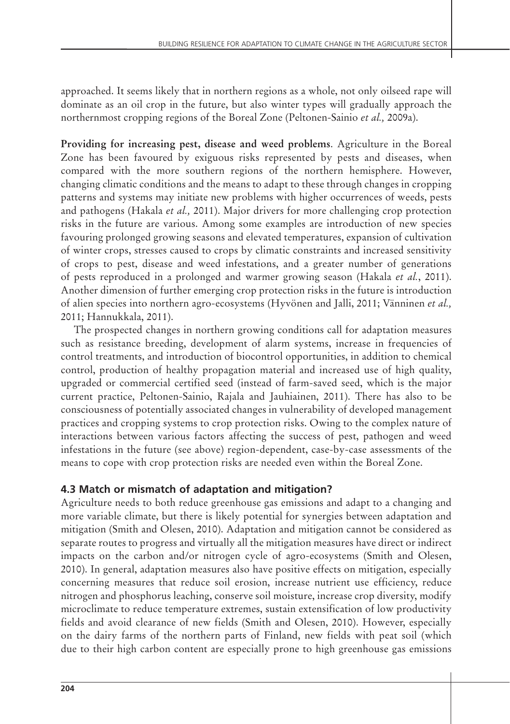approached. It seems likely that in northern regions as a whole, not only oilseed rape will dominate as an oil crop in the future, but also winter types will gradually approach the northernmost cropping regions of the Boreal Zone (Peltonen-Sainio *et al.,* 2009a).

**Providing for increasing pest, disease and weed problems**. Agriculture in the Boreal Zone has been favoured by exiguous risks represented by pests and diseases, when compared with the more southern regions of the northern hemisphere. However, changing climatic conditions and the means to adapt to these through changes in cropping patterns and systems may initiate new problems with higher occurrences of weeds, pests and pathogens (Hakala *et al.,* 2011). Major drivers for more challenging crop protection risks in the future are various. Among some examples are introduction of new species favouring prolonged growing seasons and elevated temperatures, expansion of cultivation of winter crops, stresses caused to crops by climatic constraints and increased sensitivity of crops to pest, disease and weed infestations, and a greater number of generations of pests reproduced in a prolonged and warmer growing season (Hakala *et al.*, 2011). Another dimension of further emerging crop protection risks in the future is introduction of alien species into northern agro-ecosystems (Hyvönen and Jalli, 2011; Vänninen *et al.,* 2011; Hannukkala, 2011).

The prospected changes in northern growing conditions call for adaptation measures such as resistance breeding, development of alarm systems, increase in frequencies of control treatments, and introduction of biocontrol opportunities, in addition to chemical control, production of healthy propagation material and increased use of high quality, upgraded or commercial certified seed (instead of farm-saved seed, which is the major current practice, Peltonen-Sainio, Rajala and Jauhiainen, 2011). There has also to be consciousness of potentially associated changes in vulnerability of developed management practices and cropping systems to crop protection risks. Owing to the complex nature of interactions between various factors affecting the success of pest, pathogen and weed infestations in the future (see above) region-dependent, case-by-case assessments of the means to cope with crop protection risks are needed even within the Boreal Zone.

# **4.3 Match or mismatch of adaptation and mitigation?**

Agriculture needs to both reduce greenhouse gas emissions and adapt to a changing and more variable climate, but there is likely potential for synergies between adaptation and mitigation (Smith and Olesen, 2010). Adaptation and mitigation cannot be considered as separate routes to progress and virtually all the mitigation measures have direct or indirect impacts on the carbon and/or nitrogen cycle of agro-ecosystems (Smith and Olesen, 2010). In general, adaptation measures also have positive effects on mitigation, especially concerning measures that reduce soil erosion, increase nutrient use efficiency, reduce nitrogen and phosphorus leaching, conserve soil moisture, increase crop diversity, modify microclimate to reduce temperature extremes, sustain extensification of low productivity fields and avoid clearance of new fields (Smith and Olesen, 2010). However, especially on the dairy farms of the northern parts of Finland, new fields with peat soil (which due to their high carbon content are especially prone to high greenhouse gas emissions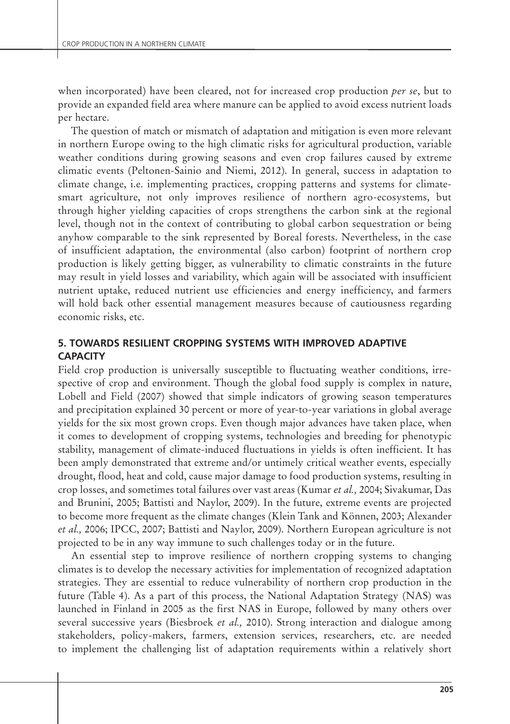when incorporated) have been cleared, not for increased crop production *per se*, but to provide an expanded field area where manure can be applied to avoid excess nutrient loads per hectare.

The question of match or mismatch of adaptation and mitigation is even more relevant in northern Europe owing to the high climatic risks for agricultural production, variable weather conditions during growing seasons and even crop failures caused by extreme climatic events (Peltonen-Sainio and Niemi, 2012). In general, success in adaptation to climate change, i.e. implementing practices, cropping patterns and systems for climatesmart agriculture, not only improves resilience of northern agro-ecosystems, but through higher yielding capacities of crops strengthens the carbon sink at the regional level, though not in the context of contributing to global carbon sequestration or being anyhow comparable to the sink represented by Boreal forests. Nevertheless, in the case of insufficient adaptation, the environmental (also carbon) footprint of northern crop production is likely getting bigger, as vulnerability to climatic constraints in the future may result in yield losses and variability, which again will be associated with insufficient nutrient uptake, reduced nutrient use efficiencies and energy inefficiency, and farmers will hold back other essential management measures because of cautiousness regarding economic risks, etc.

### **5. TOWARDS RESILIENT CROPPING SYSTEMS WITH IMPROVED ADAPTIVE CAPACITY**

Field crop production is universally susceptible to fluctuating weather conditions, irrespective of crop and environment. Though the global food supply is complex in nature, Lobell and Field (2007) showed that simple indicators of growing season temperatures and precipitation explained 30 percent or more of year-to-year variations in global average yields for the six most grown crops. Even though major advances have taken place, when it comes to development of cropping systems, technologies and breeding for phenotypic stability, management of climate-induced fluctuations in yields is often inefficient. It has been amply demonstrated that extreme and/or untimely critical weather events, especially drought, flood, heat and cold, cause major damage to food production systems, resulting in crop losses, and sometimes total failures over vast areas (Kumar *et al.,* 2004; Sivakumar, Das and Brunini, 2005; Battisti and Naylor, 2009). In the future, extreme events are projected to become more frequent as the climate changes (Klein Tank and Können, 2003; Alexander *et al.,* 2006; IPCC, 2007; Battisti and Naylor, 2009). Northern European agriculture is not projected to be in any way immune to such challenges today or in the future.

An essential step to improve resilience of northern cropping systems to changing climates is to develop the necessary activities for implementation of recognized adaptation strategies. They are essential to reduce vulnerability of northern crop production in the future (Table 4). As a part of this process, the National Adaptation Strategy (NAS) was launched in Finland in 2005 as the first NAS in Europe, followed by many others over several successive years (Biesbroek *et al.,* 2010). Strong interaction and dialogue among stakeholders, policy-makers, farmers, extension services, researchers, etc. are needed to implement the challenging list of adaptation requirements within a relatively short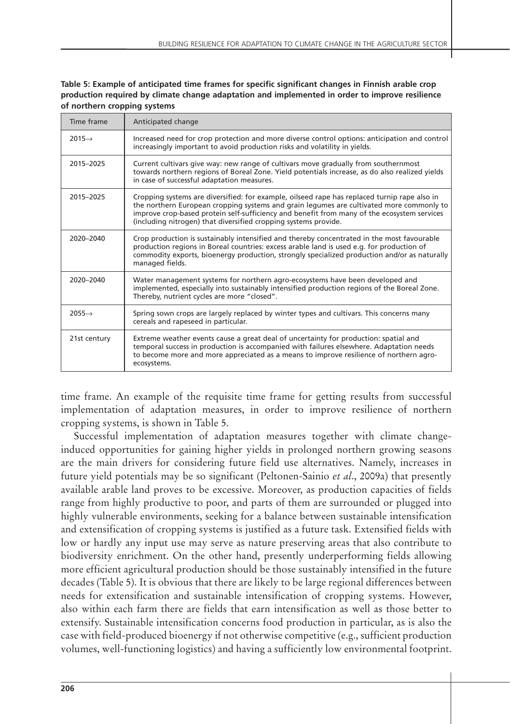**Table 5: Example of anticipated time frames for specific significant changes in Finnish arable crop production required by climate change adaptation and implemented in order to improve resilience of northern cropping systems**

| Time frame         | Anticipated change                                                                                                                                                                                                                                                                                                                                         |
|--------------------|------------------------------------------------------------------------------------------------------------------------------------------------------------------------------------------------------------------------------------------------------------------------------------------------------------------------------------------------------------|
| $2015 \rightarrow$ | Increased need for crop protection and more diverse control options: anticipation and control<br>increasingly important to avoid production risks and volatility in yields.                                                                                                                                                                                |
| 2015-2025          | Current cultivars give way: new range of cultivars move gradually from southernmost<br>towards northern regions of Boreal Zone. Yield potentials increase, as do also realized yields<br>in case of successful adaptation measures.                                                                                                                        |
| 2015-2025          | Cropping systems are diversified: for example, oilseed rape has replaced turnip rape also in<br>the northern European cropping systems and grain legumes are cultivated more commonly to<br>improve crop-based protein self-sufficiency and benefit from many of the ecosystem services<br>(including nitrogen) that diversified cropping systems provide. |
| 2020-2040          | Crop production is sustainably intensified and thereby concentrated in the most favourable<br>production regions in Boreal countries: excess arable land is used e.g. for production of<br>commodity exports, bioenergy production, strongly specialized production and/or as naturally<br>managed fields.                                                 |
| 2020-2040          | Water management systems for northern agro-ecosystems have been developed and<br>implemented, especially into sustainably intensified production regions of the Boreal Zone.<br>Thereby, nutrient cycles are more "closed".                                                                                                                                |
| $2055 \rightarrow$ | Spring sown crops are largely replaced by winter types and cultivars. This concerns many<br>cereals and rapeseed in particular.                                                                                                                                                                                                                            |
| 21st century       | Extreme weather events cause a great deal of uncertainty for production: spatial and<br>temporal success in production is accompanied with failures elsewhere. Adaptation needs<br>to become more and more appreciated as a means to improve resilience of northern agro-<br>ecosystems.                                                                   |

time frame. An example of the requisite time frame for getting results from successful implementation of adaptation measures, in order to improve resilience of northern cropping systems, is shown in Table 5.

Successful implementation of adaptation measures together with climate changeinduced opportunities for gaining higher yields in prolonged northern growing seasons are the main drivers for considering future field use alternatives. Namely, increases in future yield potentials may be so significant (Peltonen-Sainio *et al*., 2009a) that presently available arable land proves to be excessive. Moreover, as production capacities of fields range from highly productive to poor, and parts of them are surrounded or plugged into highly vulnerable environments, seeking for a balance between sustainable intensification and extensification of cropping systems is justified as a future task. Extensified fields with low or hardly any input use may serve as nature preserving areas that also contribute to biodiversity enrichment. On the other hand, presently underperforming fields allowing more efficient agricultural production should be those sustainably intensified in the future decades (Table 5). It is obvious that there are likely to be large regional differences between needs for extensification and sustainable intensification of cropping systems. However, also within each farm there are fields that earn intensification as well as those better to extensify. Sustainable intensification concerns food production in particular, as is also the case with field-produced bioenergy if not otherwise competitive (e.g., sufficient production volumes, well-functioning logistics) and having a sufficiently low environmental footprint.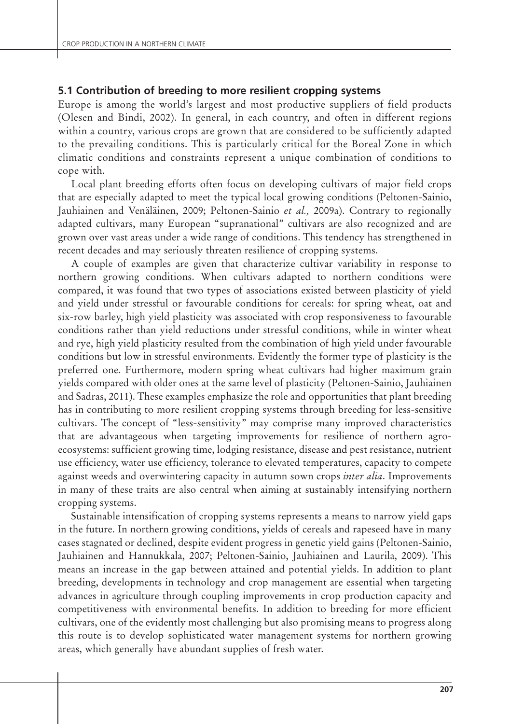#### **5.1 Contribution of breeding to more resilient cropping systems**

Europe is among the world's largest and most productive suppliers of field products (Olesen and Bindi, 2002). In general, in each country, and often in different regions within a country, various crops are grown that are considered to be sufficiently adapted to the prevailing conditions. This is particularly critical for the Boreal Zone in which climatic conditions and constraints represent a unique combination of conditions to cope with.

Local plant breeding efforts often focus on developing cultivars of major field crops that are especially adapted to meet the typical local growing conditions (Peltonen-Sainio, Jauhiainen and Venäläinen, 2009; Peltonen-Sainio *et al.,* 2009a). Contrary to regionally adapted cultivars, many European "supranational" cultivars are also recognized and are grown over vast areas under a wide range of conditions. This tendency has strengthened in recent decades and may seriously threaten resilience of cropping systems.

A couple of examples are given that characterize cultivar variability in response to northern growing conditions. When cultivars adapted to northern conditions were compared, it was found that two types of associations existed between plasticity of yield and yield under stressful or favourable conditions for cereals: for spring wheat, oat and six-row barley, high yield plasticity was associated with crop responsiveness to favourable conditions rather than yield reductions under stressful conditions, while in winter wheat and rye, high yield plasticity resulted from the combination of high yield under favourable conditions but low in stressful environments. Evidently the former type of plasticity is the preferred one. Furthermore, modern spring wheat cultivars had higher maximum grain yields compared with older ones at the same level of plasticity (Peltonen-Sainio, Jauhiainen and Sadras, 2011). These examples emphasize the role and opportunities that plant breeding has in contributing to more resilient cropping systems through breeding for less-sensitive cultivars. The concept of "less-sensitivity" may comprise many improved characteristics that are advantageous when targeting improvements for resilience of northern agroecosystems: sufficient growing time, lodging resistance, disease and pest resistance, nutrient use efficiency, water use efficiency, tolerance to elevated temperatures, capacity to compete against weeds and overwintering capacity in autumn sown crops *inter alia*. Improvements in many of these traits are also central when aiming at sustainably intensifying northern cropping systems.

Sustainable intensification of cropping systems represents a means to narrow yield gaps in the future. In northern growing conditions, yields of cereals and rapeseed have in many cases stagnated or declined, despite evident progress in genetic yield gains (Peltonen-Sainio, Jauhiainen and Hannukkala, 2007; Peltonen-Sainio, Jauhiainen and Laurila, 2009). This means an increase in the gap between attained and potential yields. In addition to plant breeding, developments in technology and crop management are essential when targeting advances in agriculture through coupling improvements in crop production capacity and competitiveness with environmental benefits. In addition to breeding for more efficient cultivars, one of the evidently most challenging but also promising means to progress along this route is to develop sophisticated water management systems for northern growing areas, which generally have abundant supplies of fresh water.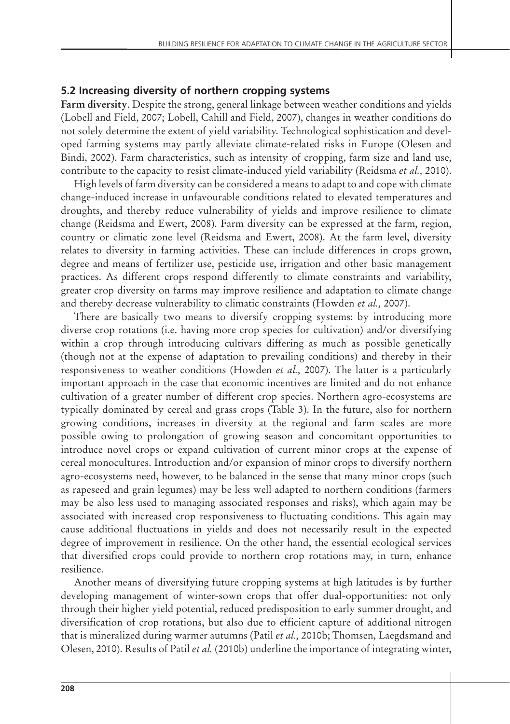#### **5.2 Increasing diversity of northern cropping systems**

**Farm diversity**. Despite the strong, general linkage between weather conditions and yields (Lobell and Field, 2007; Lobell, Cahill and Field, 2007), changes in weather conditions do not solely determine the extent of yield variability. Technological sophistication and developed farming systems may partly alleviate climate-related risks in Europe (Olesen and Bindi, 2002). Farm characteristics, such as intensity of cropping, farm size and land use, contribute to the capacity to resist climate-induced yield variability (Reidsma *et al.,* 2010).

High levels of farm diversity can be considered a means to adapt to and cope with climate change-induced increase in unfavourable conditions related to elevated temperatures and droughts, and thereby reduce vulnerability of yields and improve resilience to climate change (Reidsma and Ewert, 2008). Farm diversity can be expressed at the farm, region, country or climatic zone level (Reidsma and Ewert, 2008). At the farm level, diversity relates to diversity in farming activities. These can include differences in crops grown, degree and means of fertilizer use, pesticide use, irrigation and other basic management practices. As different crops respond differently to climate constraints and variability, greater crop diversity on farms may improve resilience and adaptation to climate change and thereby decrease vulnerability to climatic constraints (Howden *et al.,* 2007).

There are basically two means to diversify cropping systems: by introducing more diverse crop rotations (i.e. having more crop species for cultivation) and/or diversifying within a crop through introducing cultivars differing as much as possible genetically (though not at the expense of adaptation to prevailing conditions) and thereby in their responsiveness to weather conditions (Howden *et al.,* 2007). The latter is a particularly important approach in the case that economic incentives are limited and do not enhance cultivation of a greater number of different crop species. Northern agro-ecosystems are typically dominated by cereal and grass crops (Table 3). In the future, also for northern growing conditions, increases in diversity at the regional and farm scales are more possible owing to prolongation of growing season and concomitant opportunities to introduce novel crops or expand cultivation of current minor crops at the expense of cereal monocultures. Introduction and/or expansion of minor crops to diversify northern agro-ecosystems need, however, to be balanced in the sense that many minor crops (such as rapeseed and grain legumes) may be less well adapted to northern conditions (farmers may be also less used to managing associated responses and risks), which again may be associated with increased crop responsiveness to fluctuating conditions. This again may cause additional fluctuations in yields and does not necessarily result in the expected degree of improvement in resilience. On the other hand, the essential ecological services that diversified crops could provide to northern crop rotations may, in turn, enhance resilience.

Another means of diversifying future cropping systems at high latitudes is by further developing management of winter-sown crops that offer dual-opportunities: not only through their higher yield potential, reduced predisposition to early summer drought, and diversification of crop rotations, but also due to efficient capture of additional nitrogen that is mineralized during warmer autumns (Patil *et al.,* 2010b; Thomsen, Laegdsmand and Olesen, 2010). Results of Patil *et al.* (2010b) underline the importance of integrating winter,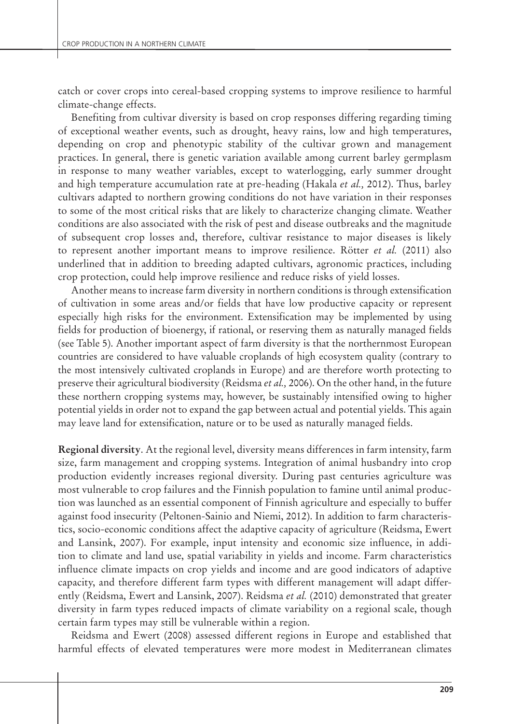catch or cover crops into cereal-based cropping systems to improve resilience to harmful climate-change effects.

Benefiting from cultivar diversity is based on crop responses differing regarding timing of exceptional weather events, such as drought, heavy rains, low and high temperatures, depending on crop and phenotypic stability of the cultivar grown and management practices. In general, there is genetic variation available among current barley germplasm in response to many weather variables, except to waterlogging, early summer drought and high temperature accumulation rate at pre-heading (Hakala *et al.,* 2012). Thus, barley cultivars adapted to northern growing conditions do not have variation in their responses to some of the most critical risks that are likely to characterize changing climate. Weather conditions are also associated with the risk of pest and disease outbreaks and the magnitude of subsequent crop losses and, therefore, cultivar resistance to major diseases is likely to represent another important means to improve resilience. Rötter *et al.* (2011) also underlined that in addition to breeding adapted cultivars, agronomic practices, including crop protection, could help improve resilience and reduce risks of yield losses.

Another means to increase farm diversity in northern conditions is through extensification of cultivation in some areas and/or fields that have low productive capacity or represent especially high risks for the environment. Extensification may be implemented by using fields for production of bioenergy, if rational, or reserving them as naturally managed fields (see Table 5). Another important aspect of farm diversity is that the northernmost European countries are considered to have valuable croplands of high ecosystem quality (contrary to the most intensively cultivated croplands in Europe) and are therefore worth protecting to preserve their agricultural biodiversity (Reidsma *et al.,* 2006). On the other hand, in the future these northern cropping systems may, however, be sustainably intensified owing to higher potential yields in order not to expand the gap between actual and potential yields. This again may leave land for extensification, nature or to be used as naturally managed fields.

**Regional diversity**. At the regional level, diversity means differences in farm intensity, farm size, farm management and cropping systems. Integration of animal husbandry into crop production evidently increases regional diversity. During past centuries agriculture was most vulnerable to crop failures and the Finnish population to famine until animal production was launched as an essential component of Finnish agriculture and especially to buffer against food insecurity (Peltonen-Sainio and Niemi, 2012). In addition to farm characteristics, socio-economic conditions affect the adaptive capacity of agriculture (Reidsma, Ewert and Lansink, 2007). For example, input intensity and economic size influence, in addition to climate and land use, spatial variability in yields and income. Farm characteristics influence climate impacts on crop yields and income and are good indicators of adaptive capacity, and therefore different farm types with different management will adapt differently (Reidsma, Ewert and Lansink, 2007). Reidsma *et al.* (2010) demonstrated that greater diversity in farm types reduced impacts of climate variability on a regional scale, though certain farm types may still be vulnerable within a region.

Reidsma and Ewert (2008) assessed different regions in Europe and established that harmful effects of elevated temperatures were more modest in Mediterranean climates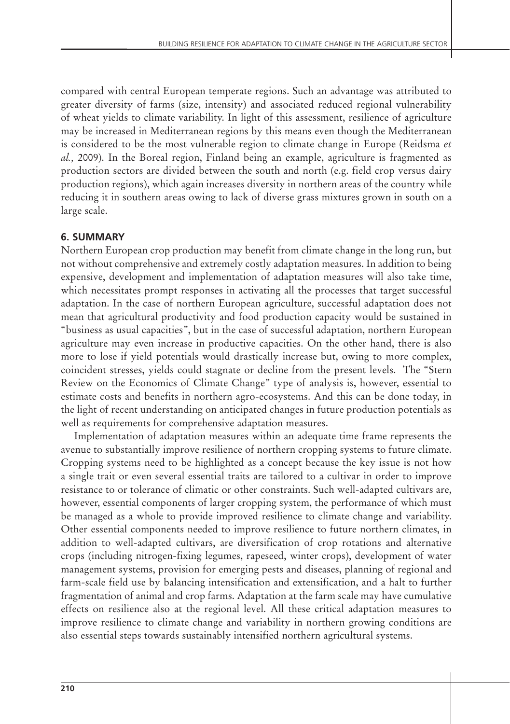compared with central European temperate regions. Such an advantage was attributed to greater diversity of farms (size, intensity) and associated reduced regional vulnerability of wheat yields to climate variability. In light of this assessment, resilience of agriculture may be increased in Mediterranean regions by this means even though the Mediterranean is considered to be the most vulnerable region to climate change in Europe (Reidsma *et al.,* 2009). In the Boreal region, Finland being an example, agriculture is fragmented as production sectors are divided between the south and north (e.g. field crop versus dairy production regions), which again increases diversity in northern areas of the country while reducing it in southern areas owing to lack of diverse grass mixtures grown in south on a large scale.

#### **6. SUMMARY**

Northern European crop production may benefit from climate change in the long run, but not without comprehensive and extremely costly adaptation measures. In addition to being expensive, development and implementation of adaptation measures will also take time, which necessitates prompt responses in activating all the processes that target successful adaptation. In the case of northern European agriculture, successful adaptation does not mean that agricultural productivity and food production capacity would be sustained in "business as usual capacities", but in the case of successful adaptation, northern European agriculture may even increase in productive capacities. On the other hand, there is also more to lose if yield potentials would drastically increase but, owing to more complex, coincident stresses, yields could stagnate or decline from the present levels. The "Stern Review on the Economics of Climate Change" type of analysis is, however, essential to estimate costs and benefits in northern agro-ecosystems. And this can be done today, in the light of recent understanding on anticipated changes in future production potentials as well as requirements for comprehensive adaptation measures.

Implementation of adaptation measures within an adequate time frame represents the avenue to substantially improve resilience of northern cropping systems to future climate. Cropping systems need to be highlighted as a concept because the key issue is not how a single trait or even several essential traits are tailored to a cultivar in order to improve resistance to or tolerance of climatic or other constraints. Such well-adapted cultivars are, however, essential components of larger cropping system, the performance of which must be managed as a whole to provide improved resilience to climate change and variability. Other essential components needed to improve resilience to future northern climates, in addition to well-adapted cultivars, are diversification of crop rotations and alternative crops (including nitrogen-fixing legumes, rapeseed, winter crops), development of water management systems, provision for emerging pests and diseases, planning of regional and farm-scale field use by balancing intensification and extensification, and a halt to further fragmentation of animal and crop farms. Adaptation at the farm scale may have cumulative effects on resilience also at the regional level. All these critical adaptation measures to improve resilience to climate change and variability in northern growing conditions are also essential steps towards sustainably intensified northern agricultural systems.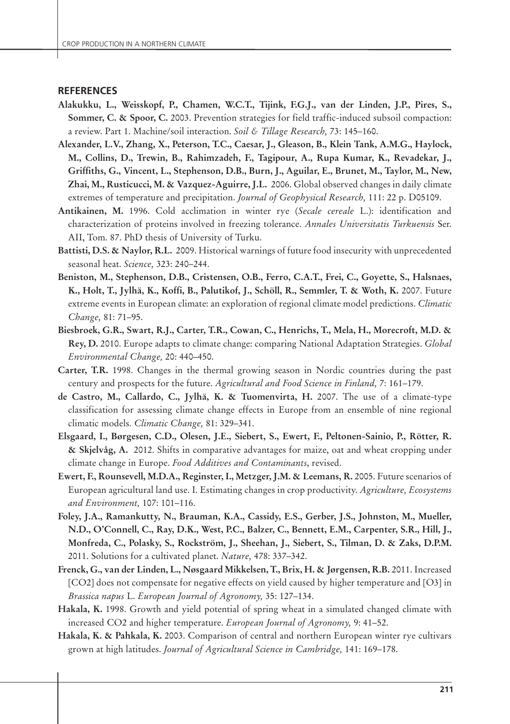#### **REFERENCES**

- **Alakukku, L., Weisskopf, P., Chamen, W.C.T., Tijink, F.G.J., van der Linden, J.P., Pires, S., Sommer, C. & Spoor, C.** 2003. Prevention strategies for field traffic-induced subsoil compaction: a review. Part 1. Machine/soil interaction. *Soil & Tillage Research,* 73: 145–160.
- **Alexander, L.V., Zhang, X., Peterson, T.C., Caesar, J., Gleason, B., Klein Tank, A.M.G., Haylock, M., Collins, D., Trewin, B., Rahimzadeh, F., Tagipour, A., Rupa Kumar, K., Revadekar, J., Griffiths, G., Vincent, L., Stephenson, D.B., Burn, J., Aguilar, E., Brunet, M., Taylor, M., New, Zhai, M., Rusticucci, M. & Vazquez-Aguirre, J.L.** 2006. Global observed changes in daily climate extremes of temperature and precipitation. *Journal of Geophysical Research,* 111: 22 p. D05109.
- **Antikainen, M.** 1996. Cold acclimation in winter rye (*Secale cereale* L.): identification and characterization of proteins involved in freezing tolerance. *Annales Universitatis Turkuensis* Ser. AII, Tom. 87. PhD thesis of University of Turku.
- **Battisti, D.S. & Naylor, R.L.** 2009. Historical warnings of future food insecurity with unprecedented seasonal heat. *Science,* 323: 240–244.
- **Beniston, M., Stephenson, D.B., Cristensen, O.B., Ferro, C.A.T., Frei, C., Goyette, S., Halsnaes, K., Holt, T., Jylhä, K., Koffi, B., Palutikof, J., Schöll, R., Semmler, T. & Woth, K.** 2007. Future extreme events in European climate: an exploration of regional climate model predictions. *Climatic Change,* 81: 71–95.
- **Biesbroek, G.R., Swart, R.J., Carter, T.R., Cowan, C., Henrichs, T., Mela, H., Morecroft, M.D. & Rey, D.** 2010. Europe adapts to climate change: comparing National Adaptation Strategies. *Global Environmental Change,* 20: 440–450.
- **Carter, T.R.** 1998. Changes in the thermal growing season in Nordic countries during the past century and prospects for the future. *Agricultural and Food Science in Finland,* 7: 161–179.
- **de Castro, M., Callardo, C., Jylhä, K. & Tuomenvirta, H.** 2007. The use of a climate-type classification for assessing climate change effects in Europe from an ensemble of nine regional climatic models. *Climatic Change,* 81: 329–341.
- **Elsgaard, I., Børgesen, C.D., Olesen, J.E., Siebert, S., Ewert, F., Peltonen-Sainio, P., Rötter, R. & Skjelvåg, A.** 2012. Shifts in comparative advantages for maize, oat and wheat cropping under climate change in Europe. *Food Additives and Contaminants*, revised.
- **Ewert, F., Rounsevell, M.D.A., Reginster, I., Metzger, J.M. & Leemans, R.** 2005. Future scenarios of European agricultural land use. I. Estimating changes in crop productivity. *Agriculture, Ecosystems and Environment,* 107: 101–116.
- **Foley, J.A., Ramankutty, N., Brauman, K.A., Cassidy, E.S., Gerber, J.S., Johnston, M., Mueller, N.D., O'Connell, C., Ray, D.K., West, P.C., Balzer, C., Bennett, E.M., Carpenter, S.R., Hill, J., Monfreda, C., Polasky, S., Rockström, J., Sheehan, J., Siebert, S., Tilman, D. & Zaks, D.P.M.** 2011. Solutions for a cultivated planet. *Nature,* 478: 337–342.
- **Frenck, G., van der Linden, L., Nøsgaard Mikkelsen, T., Brix, H. & Jørgensen, R.B.** 2011. Increased [CO2] does not compensate for negative effects on yield caused by higher temperature and [O3] in *Brassica napus* L. *European Journal of Agronomy,* 35: 127–134.
- **Hakala, K.** 1998. Growth and yield potential of spring wheat in a simulated changed climate with increased CO2 and higher temperature. *European Journal of Agronomy,* 9: 41–52.
- **Hakala, K. & Pahkala, K.** 2003. Comparison of central and northern European winter rye cultivars grown at high latitudes. *Journal of Agricultural Science in Cambridge,* 141: 169–178.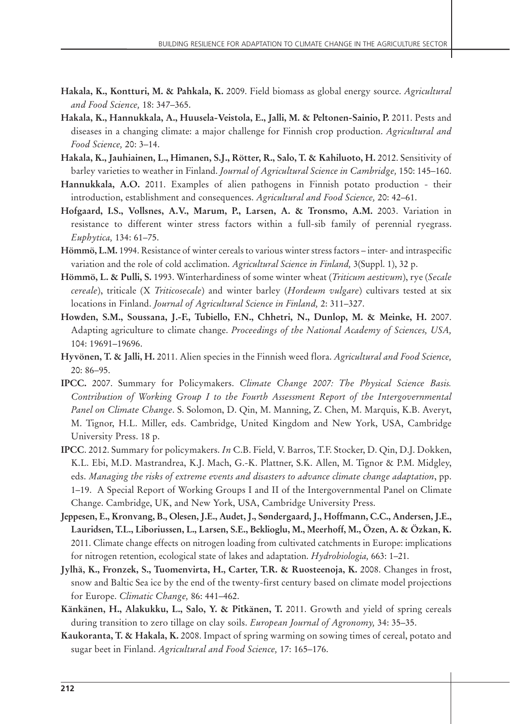- **Hakala, K., Kontturi, M. & Pahkala, K.** 2009. Field biomass as global energy source. *Agricultural and Food Science,* 18: 347–365.
- **Hakala, K., Hannukkala, A., Huusela-Veistola, E., Jalli, M. & Peltonen-Sainio, P.** 2011. Pests and diseases in a changing climate: a major challenge for Finnish crop production. *Agricultural and Food Science,* 20: 3–14.
- **Hakala, K., Jauhiainen, L., Himanen, S.J., Rötter, R., Salo, T. & Kahiluoto, H.** 2012. Sensitivity of barley varieties to weather in Finland. *Journal of Agricultural Science in Cambridge,* 150: 145–160.
- **Hannukkala, A.O.** 2011. Examples of alien pathogens in Finnish potato production their introduction, establishment and consequences. *Agricultural and Food Science,* 20: 42–61.
- **Hofgaard, I.S., Vollsnes, A.V., Marum, P., Larsen, A. & Tronsmo, A.M.** 2003. Variation in resistance to different winter stress factors within a full-sib family of perennial ryegrass. *Euphytica,* 134: 61–75.
- **Hömmö, L.M.** 1994. Resistance of winter cereals to various winter stress factors inter- and intraspecific variation and the role of cold acclimation. *Agricultural Science in Finland,* 3(Suppl. 1), 32 p.
- **Hömmö, L. & Pulli, S.** 1993. Winterhardiness of some winter wheat (*Triticum aestivum*), rye (*Secale cereale*), triticale (X *Triticosecale*) and winter barley (*Hordeum vulgare*) cultivars tested at six locations in Finland. *Journal of Agricultural Science in Finland,* 2: 311–327.
- **Howden, S.M., Soussana, J.-F., Tubiello, F.N., Chhetri, N., Dunlop, M. & Meinke, H.** 2007. Adapting agriculture to climate change. *Proceedings of the National Academy of Sciences, USA,*  104: 19691–19696.
- **Hyvönen, T. & Jalli, H.** 2011. Alien species in the Finnish weed flora. *Agricultural and Food Science,*  20: 86–95.
- **IPCC.** 2007. Summary for Policymakers. *Climate Change 2007: The Physical Science Basis. Contribution of Working Group I to the Fourth Assessment Report of the Intergovernmental Panel on Climate Change*. S. Solomon, D. Qin, M. Manning, Z. Chen, M. Marquis, K.B. Averyt, M. Tignor, H.L. Miller, eds. Cambridge, United Kingdom and New York, USA, Cambridge University Press. 18 p.
- **IPCC**. 2012. Summary for policymakers. *In* C.B. Field, V. Barros, T.F. Stocker, D. Qin, D.J. Dokken, K.L. Ebi, M.D. Mastrandrea, K.J. Mach, G.-K. Plattner, S.K. Allen, M. Tignor & P.M. Midgley, eds. *Managing the risks of extreme events and disasters to advance climate change adaptation*, pp. 1–19. A Special Report of Working Groups I and II of the Intergovernmental Panel on Climate Change. Cambridge, UK, and New York, USA, Cambridge University Press.
- **Jeppesen, E., Kronvang, B., Olesen, J.E., Audet, J., Søndergaard, J., Hoffmann, C.C., Andersen, J.E., Lauridsen, T.L., Liboriussen, L., Larsen, S.E., Beklioglu, M., Meerhoff, M., Özen, A. & Özkan, K.** 2011. Climate change effects on nitrogen loading from cultivated catchments in Europe: implications for nitrogen retention, ecological state of lakes and adaptation. *Hydrobiologia,* 663: 1–21.
- **Jylhä, K., Fronzek, S., Tuomenvirta, H., Carter, T.R. & Ruosteenoja, K.** 2008. Changes in frost, snow and Baltic Sea ice by the end of the twenty-first century based on climate model projections for Europe. *Climatic Change,* 86: 441–462.
- **Känkänen, H., Alakukku, L., Salo, Y. & Pitkänen, T.** 2011. Growth and yield of spring cereals during transition to zero tillage on clay soils. *European Journal of Agronomy,* 34: 35–35.
- **Kaukoranta, T. & Hakala, K.** 2008. Impact of spring warming on sowing times of cereal, potato and sugar beet in Finland. *Agricultural and Food Science,* 17: 165–176.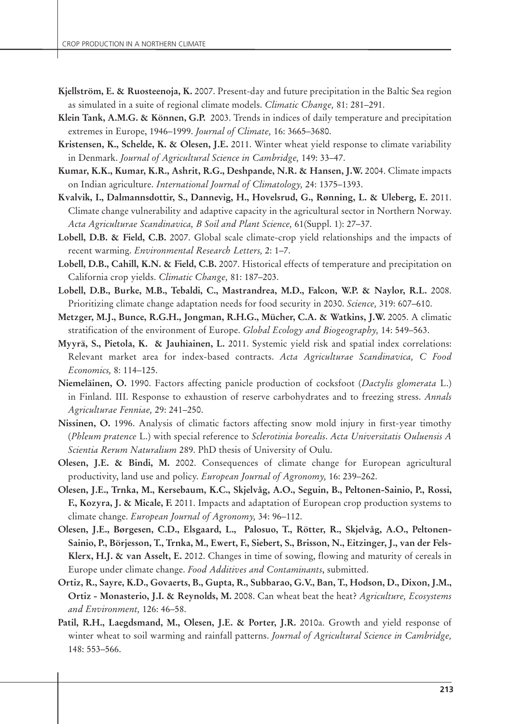- **Kjellström, E. & Ruosteenoja, K.** 2007. Present-day and future precipitation in the Baltic Sea region as simulated in a suite of regional climate models. *Climatic Change,* 81: 281–291.
- **Klein Tank, A.M.G. & Können, G.P.** 2003. Trends in indices of daily temperature and precipitation extremes in Europe, 1946–1999. *Journal of Climate,* 16: 3665–3680.
- **Kristensen, K., Schelde, K. & Olesen, J.E.** 2011. Winter wheat yield response to climate variability in Denmark. *Journal of Agricultural Science in Cambridge,* 149: 33–47.
- **Kumar, K.K., Kumar, K.R., Ashrit, R.G., Deshpande, N.R. & Hansen, J.W.** 2004. Climate impacts on Indian agriculture. *International Journal of Climatology,* 24: 1375–1393.
- **Kvalvik, I., Dalmannsdottir, S., Dannevig, H., Hovelsrud, G., Rønning, L. & Uleberg, E.** 2011. Climate change vulnerability and adaptive capacity in the agricultural sector in Northern Norway. *Acta Agriculturae Scandinavica, B Soil and Plant Science,* 61(Suppl. 1): 27–37.
- Lobell, D.B. & Field, C.B. 2007. Global scale climate-crop yield relationships and the impacts of recent warming. *Environmental Research Letters,* 2: 1–7.
- **Lobell, D.B., Cahill, K.N. & Field, C.B.** 2007. Historical effects of temperature and precipitation on California crop yields. *Climatic Change,* 81: 187–203.
- **Lobell, D.B., Burke, M.B., Tebaldi, C., Mastrandrea, M.D., Falcon, W.P. & Naylor, R.L.** 2008. Prioritizing climate change adaptation needs for food security in 2030. *Science,* 319: 607–610.
- **Metzger, M.J., Bunce, R.G.H., Jongman, R.H.G., Mücher, C.A. & Watkins, J.W.** 2005. A climatic stratification of the environment of Europe. *Global Ecology and Biogeography,* 14: 549–563.
- **Myyrä, S., Pietola, K. & Jauhiainen, L.** 2011. Systemic yield risk and spatial index correlations: Relevant market area for index-based contracts. *Acta Agriculturae Scandinavica, C Food Economics,* 8: 114–125.
- **Niemeläinen, O.** 1990. Factors affecting panicle production of cocksfoot (*Dactylis glomerata* L.) in Finland. III. Response to exhaustion of reserve carbohydrates and to freezing stress. *Annals Agriculturae Fenniae,* 29: 241–250.
- **Nissinen, O.** 1996. Analysis of climatic factors affecting snow mold injury in first-year timothy (*Phleum pratence* L.) with special reference to *Sclerotinia borealis*. *Acta Universitatis Ouluensis A Scientia Rerum Naturalium* 289. PhD thesis of University of Oulu.
- **Olesen, J.E. & Bindi, M.** 2002. Consequences of climate change for European agricultural productivity, land use and policy. *European Journal of Agronomy,* 16: 239–262.
- **Olesen, J.E., Trnka, M., Kersebaum, K.C., Skjelvåg, A.O., Seguin, B., Peltonen-Sainio, P., Rossi, F., Kozyra, J. & Micale, F.** 2011. Impacts and adaptation of European crop production systems to climate change. *European Journal of Agronomy,* 34: 96–112.
- **Olesen, J.E., Børgesen, C.D., Elsgaard, L., Palosuo, T., Rötter, R., Skjelvåg, A.O., Peltonen-Sainio, P., Börjesson, T., Trnka, M., Ewert, F., Siebert, S., Brisson, N., Eitzinger, J., van der Fels-Klerx, H.J. & van Asselt, E.** 2012. Changes in time of sowing, flowing and maturity of cereals in Europe under climate change. *Food Additives and Contaminants*, submitted.
- **Ortiz, R., Sayre, K.D., Govaerts, B., Gupta, R., Subbarao, G.V., Ban, T., Hodson, D., Dixon, J.M., Ortiz - Monasterio, J.I. & Reynolds, M.** 2008. Can wheat beat the heat? *Agriculture, Ecosystems and Environment,* 126: 46–58.
- **Patil, R.H., Laegdsmand, M., Olesen, J.E. & Porter, J.R.** 2010a. Growth and yield response of winter wheat to soil warming and rainfall patterns. *Journal of Agricultural Science in Cambridge,*  148: 553–566.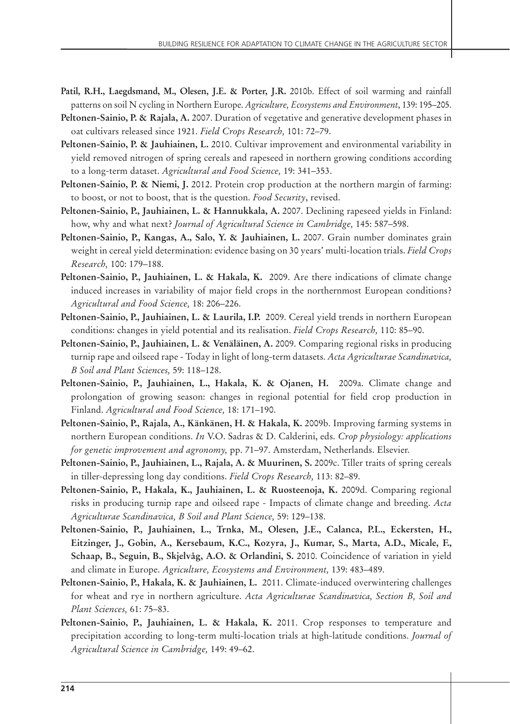- **Patil, R.H., Laegdsmand, M., Olesen, J.E. & Porter, J.R.** 2010b. Effect of soil warming and rainfall patterns on soil N cycling in Northern Europe. *Agriculture, Ecosystems and Environment*, 139: 195–205.
- **Peltonen-Sainio, P. & Rajala, A.** 2007. Duration of vegetative and generative development phases in oat cultivars released since 1921. *Field Crops Research,* 101: 72–79.
- **Peltonen-Sainio, P. & Jauhiainen, L.** 2010. Cultivar improvement and environmental variability in yield removed nitrogen of spring cereals and rapeseed in northern growing conditions according to a long-term dataset. *Agricultural and Food Science,* 19: 341–353.
- **Peltonen-Sainio, P. & Niemi, J.** 2012. Protein crop production at the northern margin of farming: to boost, or not to boost, that is the question. *Food Security*, revised.
- **Peltonen-Sainio, P., Jauhiainen, L. & Hannukkala, A.** 2007. Declining rapeseed yields in Finland: how, why and what next? *Journal of Agricultural Science in Cambridge,* 145: 587–598.
- **Peltonen-Sainio, P., Kangas, A., Salo, Y. & Jauhiainen, L.** 2007. Grain number dominates grain weight in cereal yield determination: evidence basing on 30 years' multi-location trials. *Field Crops Research,* 100: 179–188.
- **Peltonen-Sainio, P., Jauhiainen, L. & Hakala, K.** 2009. Are there indications of climate change induced increases in variability of major field crops in the northernmost European conditions? *Agricultural and Food Science,* 18: 206–226.
- **Peltonen-Sainio, P., Jauhiainen, L. & Laurila, I.P.** 2009. Cereal yield trends in northern European conditions: changes in yield potential and its realisation. *Field Crops Research,* 110: 85–90.
- **Peltonen-Sainio, P., Jauhiainen, L. & Venäläinen, A.** 2009. Comparing regional risks in producing turnip rape and oilseed rape - Today in light of long-term datasets. *Acta Agriculturae Scandinavica, B Soil and Plant Sciences,* 59: 118–128.
- **Peltonen-Sainio, P., Jauhiainen, L., Hakala, K. & Ojanen, H.** 2009a. Climate change and prolongation of growing season: changes in regional potential for field crop production in Finland. *Agricultural and Food Science,* 18: 171–190.
- **Peltonen-Sainio, P., Rajala, A., Känkänen, H. & Hakala, K.** 2009b. Improving farming systems in northern European conditions. *In* V.O. Sadras & D. Calderini, eds. *Crop physiology: applications for genetic improvement and agronomy,* pp. 71–97. Amsterdam, Netherlands. Elsevier.
- **Peltonen-Sainio, P., Jauhiainen, L., Rajala, A. & Muurinen, S.** 2009c. Tiller traits of spring cereals in tiller-depressing long day conditions. *Field Crops Research,* 113: 82–89.
- **Peltonen-Sainio, P., Hakala, K., Jauhiainen, L. & Ruosteenoja, K.** 2009d. Comparing regional risks in producing turnip rape and oilseed rape - Impacts of climate change and breeding. *Acta Agriculturae Scandinavica, B Soil and Plant Science,* 59: 129–138.
- **Peltonen-Sainio, P., Jauhiainen, L., Trnka, M., Olesen, J.E., Calanca, P.L., Eckersten, H., Eitzinger, J., Gobin, A., Kersebaum, K.C., Kozyra, J., Kumar, S., Marta, A.D., Micale, F., Schaap, B., Seguin, B., Skjelvåg, A.O. & Orlandini, S.** 2010. Coincidence of variation in yield and climate in Europe. *Agriculture, Ecosystems and Environment,* 139: 483–489.
- **Peltonen-Sainio, P., Hakala, K. & Jauhiainen, L.** 2011. Climate-induced overwintering challenges for wheat and rye in northern agriculture. *Acta Agriculturae Scandinavica, Section B, Soil and Plant Sciences,* 61: 75–83.
- **Peltonen-Sainio, P., Jauhiainen, L. & Hakala, K.** 2011. Crop responses to temperature and precipitation according to long-term multi-location trials at high-latitude conditions. *Journal of Agricultural Science in Cambridge,* 149: 49–62.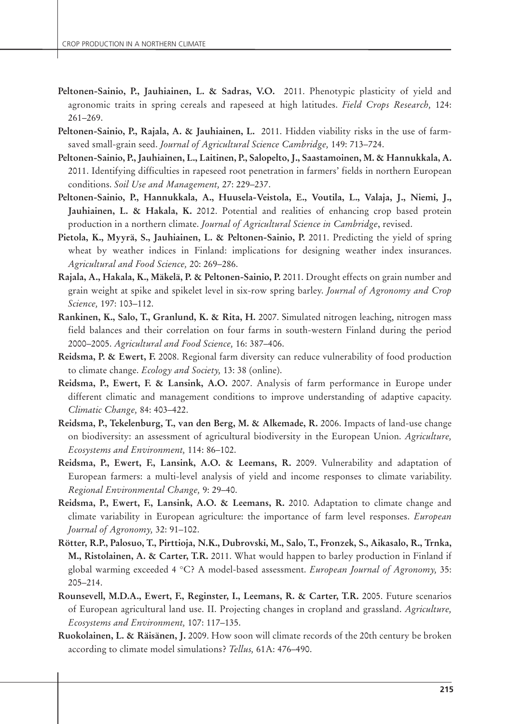- **Peltonen-Sainio, P., Jauhiainen, L. & Sadras, V.O.** 2011. Phenotypic plasticity of yield and agronomic traits in spring cereals and rapeseed at high latitudes. *Field Crops Research,* 124: 261–269.
- **Peltonen-Sainio, P., Rajala, A. & Jauhiainen, L.** 2011. Hidden viability risks in the use of farmsaved small-grain seed. *Journal of Agricultural Science Cambridge,* 149: 713–724.
- **Peltonen-Sainio, P., Jauhiainen, L., Laitinen, P., Salopelto, J., Saastamoinen, M. & Hannukkala, A.** 2011. Identifying difficulties in rapeseed root penetration in farmers' fields in northern European conditions. *Soil Use and Management,* 27: 229–237.
- **Peltonen-Sainio, P., Hannukkala, A., Huusela-Veistola, E., Voutila, L., Valaja, J., Niemi, J., Jauhiainen, L. & Hakala, K.** 2012. Potential and realities of enhancing crop based protein production in a northern climate. *Journal of Agricultural Science in Cambridge*, revised.
- **Pietola, K., Myyrä, S., Jauhiainen, L. & Peltonen-Sainio, P.** 2011. Predicting the yield of spring wheat by weather indices in Finland: implications for designing weather index insurances. *Agricultural and Food Science,* 20: 269–286.
- **Rajala, A., Hakala, K., Mäkelä, P. & Peltonen-Sainio, P.** 2011. Drought effects on grain number and grain weight at spike and spikelet level in six-row spring barley. *Journal of Agronomy and Crop Science,* 197: 103–112.
- **Rankinen, K., Salo, T., Granlund, K. & Rita, H.** 2007. Simulated nitrogen leaching, nitrogen mass field balances and their correlation on four farms in south-western Finland during the period 2000–2005. *Agricultural and Food Science,* 16: 387–406.
- **Reidsma, P. & Ewert, F.** 2008. Regional farm diversity can reduce vulnerability of food production to climate change. *Ecology and Society,* 13: 38 (online).
- **Reidsma, P., Ewert, F. & Lansink, A.O.** 2007. Analysis of farm performance in Europe under different climatic and management conditions to improve understanding of adaptive capacity. *Climatic Change,* 84: 403–422.
- **Reidsma, P., Tekelenburg, T., van den Berg, M. & Alkemade, R.** 2006. Impacts of land-use change on biodiversity: an assessment of agricultural biodiversity in the European Union. *Agriculture, Ecosystems and Environment,* 114: 86–102.
- **Reidsma, P., Ewert, F., Lansink, A.O. & Leemans, R.** 2009. Vulnerability and adaptation of European farmers: a multi-level analysis of yield and income responses to climate variability. *Regional Environmental Change,* 9: 29–40.
- **Reidsma, P., Ewert, F., Lansink, A.O. & Leemans, R.** 2010. Adaptation to climate change and climate variability in European agriculture: the importance of farm level responses. *European Journal of Agronomy,* 32: 91–102.
- **Rötter, R.P., Palosuo, T., Pirttioja, N.K., Dubrovski, M., Salo, T., Fronzek, S., Aikasalo, R., Trnka, M., Ristolainen, A. & Carter, T.R.** 2011. What would happen to barley production in Finland if global warming exceeded 4 °C? A model-based assessment. *European Journal of Agronomy,* 35: 205–214.
- **Rounsevell, M.D.A., Ewert, F., Reginster, I., Leemans, R. & Carter, T.R.** 2005. Future scenarios of European agricultural land use. II. Projecting changes in cropland and grassland. *Agriculture, Ecosystems and Environment,* 107: 117–135.
- **Ruokolainen, L. & Räisänen, J.** 2009. How soon will climate records of the 20th century be broken according to climate model simulations? *Tellus,* 61A: 476–490.